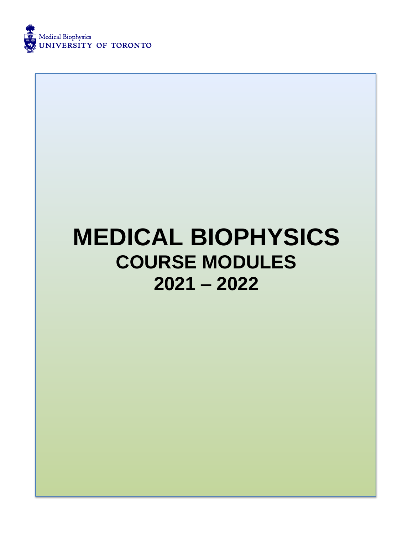

# **MEDICAL BIOPHYSICS COURSE MODULES 2021 – 2022**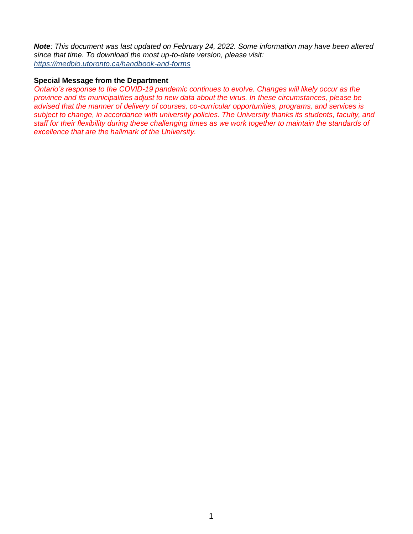*Note: This document was last updated on February 24, 2022. Some information may have been altered since that time. To download the most up-to-date version, please visit: <https://medbio.utoronto.ca/handbook-and-forms>*

#### **Special Message from the Department**

*Ontario's response to the COVID-19 pandemic continues to evolve. Changes will likely occur as the province and its municipalities adjust to new data about the virus. In these circumstances, please be advised that the manner of delivery of courses, co-curricular opportunities, programs, and services is subject to change, in accordance with university policies. The University thanks its students, faculty, and staff for their flexibility during these challenging times as we work together to maintain the standards of excellence that are the hallmark of the University.*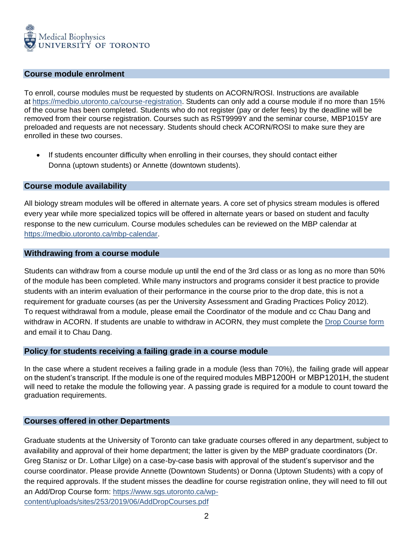

#### **Course module enrolment**

To enroll, course modules must be requested by students on ACORN/ROSI. Instructions are available at [https://medbio.utoronto.ca/course-registration.](https://medbio.utoronto.ca/course-registration) Students can only add a course module if no more than 15% of the course has been completed. Students who do not register (pay or defer fees) by the deadline will be removed from their course registration. Courses such as RST9999Y and the seminar course, MBP1015Y are preloaded and requests are not necessary. Students should check ACORN/ROSI to make sure they are enrolled in these two courses.

• If students encounter difficulty when enrolling in their courses, they should contact either Donna (uptown students) or Annette (downtown students).

#### **Course module availability**

All biology stream modules will be offered in alternate years. A core set of physics stream modules is offered every year while more specialized topics will be offered in alternate years or based on student and faculty response to the new curriculum. Course modules schedules can be reviewed on the MBP calendar at [https://medbio.utoronto.ca/mbp-calendar.](https://medbio.utoronto.ca/mbp-calendar)

#### **Withdrawing from a course module**

Students can withdraw from a course module up until the end of the 3rd class or as long as no more than 50% of the module has been completed. While many instructors and programs consider it best practice to provide students with an interim evaluation of their performance in the course prior to the drop date, this is not a requirement for graduate courses (as per the University Assessment and Grading Practices Policy 2012). To request withdrawal from a module, please email the Coordinator of the module and cc Chau Dang and withdraw in ACORN. If students are unable to withdraw in ACORN, they must complete the Drop [Course](https://www.sgs.utoronto.ca/wp-content/uploads/sites/253/2019/06/AddDropCourses.pdf) form and email it to Chau Dang.

#### **Policy for students receiving a failing grade in a course module**

In the case where a student receives a failing grade in a module (less than 70%), the failing grade will appear on the student's transcript. If the module is one of the required modules MBP1200H or MBP1201H, the student will need to retake the module the following year. A passing grade is required for a module to count toward the graduation requirements.

#### **Courses offered in other Departments**

Graduate students at the University of Toronto can take graduate courses offered in any department, subject to availability and approval of their home department; the latter is given by the MBP graduate coordinators (Dr. Greg Stanisz or Dr. Lothar Lilge) on a case-by-case basis with approval of the student's supervisor and the course coordinator. Please provide Annette (Downtown Students) or Donna (Uptown Students) with a copy of the required approvals. If the student misses the deadline for course registration online, they will need to fill out an Add/Drop Course form: [https://www.sgs.utoronto.ca/wp](https://www.sgs.utoronto.ca/wp-content/uploads/sites/253/2019/06/AddDropCourses.pdf)[content/uploads/sites/253/2019/06/AddDropCourses.pdf](https://www.sgs.utoronto.ca/wp-content/uploads/sites/253/2019/06/AddDropCourses.pdf)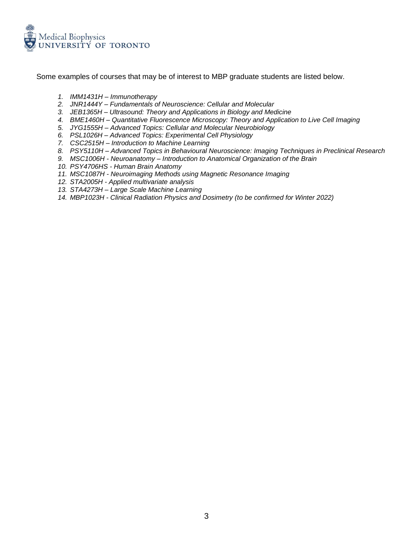

Some examples of courses that may be of interest to MBP graduate students are listed below.

- *1. IMM1431H – Immunotherapy*
- *2. JNR1444Y – Fundamentals of Neuroscience: Cellular and Molecular*
- *3. JEB1365H – Ultrasound: Theory and Applications in Biology and Medicine*
- *4. BME1460H – Quantitative Fluorescence Microscopy: Theory and Application to Live Cell Imaging*
- *5. JYG1555H – Advanced Topics: Cellular and Molecular Neurobiology*
- *6. PSL1026H – Advanced Topics: Experimental Cell Physiology*
- *7. CSC2515H – Introduction to Machine Learning*
- *8. PSY5110H – Advanced Topics in Behavioural Neuroscience: Imaging Techniques in Preclinical Research*
- *9. MSC1006H - Neuroanatomy – Introduction to Anatomical Organization of the Brain*
- *10. PSY4706HS - Human Brain Anatomy*
- *11. MSC1087H - Neuroimaging Methods using Magnetic Resonance Imaging*
- *12. STA2005H - Applied multivariate analysis*
- *13. STA4273H – Large Scale Machine Learning*
- *14. MBP1023H - Clinical Radiation Physics and Dosimetry (to be confirmed for Winter 2022)*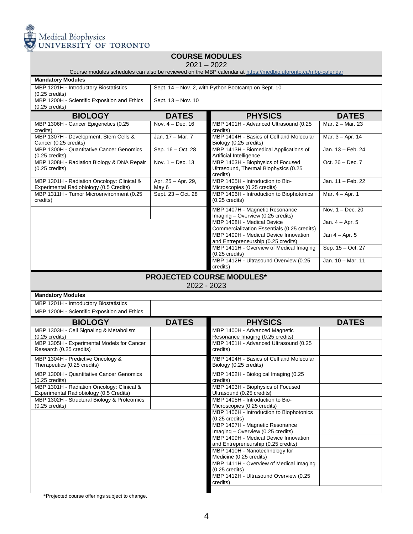

## **COURSE MODULES**

2021 – 2022

Course modules schedules can also be reviewed on the MBP calendar at<https://medbio.utoronto.ca/mbp-calendar>

| <b>Mandatory Module</b> |  |
|-------------------------|--|
|                         |  |

| <b>Mandatory Modules</b>                                                              |                             |                                                                                         |                     |
|---------------------------------------------------------------------------------------|-----------------------------|-----------------------------------------------------------------------------------------|---------------------|
| MBP 1201H - Introductory Biostatistics<br>$(0.25 \text{ credits})$                    |                             | Sept. 14 - Nov. 2, with Python Bootcamp on Sept. 10                                     |                     |
| MBP 1200H - Scientific Exposition and Ethics<br>$(0.25 \text{ credits})$              | Sept. 13 - Nov. 10          |                                                                                         |                     |
| <b>BIOLOGY</b>                                                                        | <b>DATES</b>                | <b>PHYSICS</b>                                                                          | <b>DATES</b>        |
| MBP 1306H - Cancer Epigenetics (0.25<br>credits)                                      | Nov. 4 - Dec. 16            | MBP 1401H - Advanced Ultrasound (0.25<br>credits)                                       | Mar. 2 - Mar. 23    |
| MBP 1307H - Development, Stem Cells &<br>Cancer (0.25 credits)                        | Jan. 17 - Mar. 7            | MBP 1404H - Basics of Cell and Molecular<br>Biology (0.25 credits)                      | Mar. 3 - Apr. 14    |
| MBP 1300H - Quantitative Cancer Genomics<br>$(0.25 \text{ credits})$                  | Sep. 16 - Oct. 28           | MBP 1413H - Biomedical Applications of<br>Artificial Intelligence                       | Jan. 13 - Feb. 24   |
| MBP 1308H - Radiation Biology & DNA Repair<br>$(0.25 \text{ credits})$                | Nov. 1 - Dec. 13            | MBP 1403H - Biophysics of Focused<br>Ultrasound, Thermal Biophysics (0.25<br>credits)   | Oct. 26 - Dec. 7    |
| MBP 1301H - Radiation Oncology: Clinical &<br>Experimental Radiobiology (0.5 Credits) | Apr. 25 - Apr. 29,<br>May 6 | MBP 1405H - Introduction to Bio-<br>Microscopies (0.25 credits)                         | Jan. 11 - Feb. 22   |
| MBP 1311H - Tumor Microenvironment (0.25<br>credits)                                  | Sept. 23 - Oct. 28          | MBP 1406H - Introduction to Biophotonics<br>$(0.25 \text{ credits})$                    | Mar. 4 - Apr. 1     |
|                                                                                       |                             | MBP 1407H - Magnetic Resonance<br>Imaging - Overview (0.25 credits)                     | Nov. $1 - Dec. 20$  |
|                                                                                       |                             | MBP 1408H - Medical Device<br>Commercialization Essentials (0.25 credits)               | Jan. $4 -$ Apr. $5$ |
|                                                                                       |                             | MBP 1409H - Medical Device Innovation<br>and Entrepreneurship (0.25 credits)            | Jan $4 -$ Apr. 5    |
|                                                                                       |                             | MBP 1411H - Overview of Medical Imaging<br>$(0.25 \text{ credits})$                     | Sep. 15 - Oct. 27   |
|                                                                                       |                             | MBP 1412H - Ultrasound Overview (0.25<br>credits)                                       | Jan. 10 - Mar. 11   |
|                                                                                       | 2022 - 2023                 | <b>PROJECTED COURSE MODULES*</b>                                                        |                     |
| <b>Mandatory Modules</b>                                                              |                             |                                                                                         |                     |
| MBP 1201H - Introductory Biostatistics                                                |                             |                                                                                         |                     |
| MBP 1200H - Scientific Exposition and Ethics                                          |                             |                                                                                         |                     |
| <b>BIOLOGY</b>                                                                        | <b>DATES</b>                | <b>PHYSICS</b>                                                                          | <b>DATES</b>        |
| MBP 1303H - Cell Signaling & Metabolism<br>$(0.25 \text{ credits})$                   |                             | MBP 1400H - Advanced Magnetic<br>Resonance Imaging (0.25 credits)                       |                     |
| MBP 1305H - Experimental Models for Cancer<br>Research (0.25 credits)                 |                             | MBP 1401H - Advanced Ultrasound (0.25<br>credits)                                       |                     |
| MBP 1304H - Predictive Oncology &                                                     |                             |                                                                                         |                     |
| Therapeutics (0.25 credits)                                                           |                             | MBP 1404H - Basics of Cell and Molecular<br>Biology (0.25 credits)                      |                     |
| MBP 1300H - Quantitative Cancer Genomics<br>$(0.25 \text{ credits})$                  |                             | MBP 1402H - Biological Imaging (0.25<br>credits)                                        |                     |
| MBP 1301H - Radiation Oncology: Clinical &<br>Experimental Radiobiology (0.5 Credits) |                             | MBP 1403H - Biophysics of Focused<br>Ultrasound (0.25 credits)                          |                     |
| MBP 1302H - Structural Biology & Proteomics<br>$(0.25 \text{ credits})$               |                             | MBP 1405H - Introduction to Bio-<br>Microscopies (0.25 credits)                         |                     |
|                                                                                       |                             | MBP 1406H - Introduction to Biophotonics                                                |                     |
|                                                                                       |                             | $(0.25$ credits)<br>MBP 1407H - Magnetic Resonance<br>Imaging - Overview (0.25 credits) |                     |
|                                                                                       |                             | MBP 1409H - Medical Device Innovation<br>and Entrepreneurship (0.25 credits)            |                     |
|                                                                                       |                             | MBP 1410H - Nanotechnology for<br>Medicine (0.25 credits)                               |                     |
|                                                                                       |                             | MBP 1411H - Overview of Medical Imaging                                                 |                     |
|                                                                                       |                             | $(0.25 \text{ credits})$<br>MBP 1412H - Ultrasound Overview (0.25<br>credits)           |                     |

\*Projected course offerings subject to change.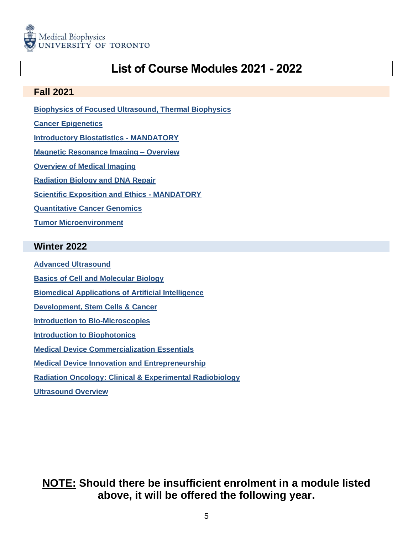

## **List of Course Modules 2021 - 2022**

## <span id="page-5-0"></span>**Fall 2021**

**[Biophysics of Focused Ultrasound, Thermal Biophysics](#page-6-0)**

- **[Cancer Epigenetics](#page-7-0)**
- **[Introductory Biostatistics -](#page-8-0) MANDATORY**
- **[Magnetic Resonance Imaging –](#page-9-0) Overview**
- **Overview of [Medical Imaging](#page-10-0)**
- **[Radiation Biology and DNA Repair](#page-11-0)**
- **[Scientific Exposition and Ethics -](#page-12-0) MANDATORY**
- **[Quantitative Cancer Genomics](#page-14-0)**
- **[Tumor Microenvironment](#page-16-0)**

#### <span id="page-5-1"></span>**Winter 2022**

- **[Advanced Ultrasound](#page-17-0) [Basics of Cell and Molecular Biology](#page-18-0) [Biomedical Applications of Artificial Intelligence](#page-19-0) [Development, Stem Cells & Cancer](#page-20-0) [Introduction to Bio-Microscopies](#page-21-0) [Introduction to Biophotonics](#page-22-0) [Medical Device Commercialization Essentials](#page-24-0) [Medical Device Innovation and Entrepreneurship](#page-26-0) [Radiation Oncology: Clinical & Experimental Radiobiology](#page-29-0)**
- **[Ultrasound Overview](#page-31-0)**

**NOTE: Should there be insufficient enrolment in a module listed above, it will be offered the following year.**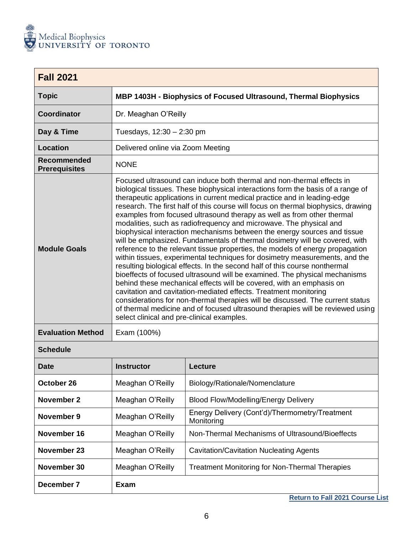

<span id="page-6-0"></span>

| <b>Fall 2021</b>                    |                                                                                                                                                                                                                                                                                                                                                                                                                                                                                                                                                                                                                                                                                                                                                                                                                                                                                                                                                                                                                                                                                                                                                                                                                                                                                                                                |
|-------------------------------------|--------------------------------------------------------------------------------------------------------------------------------------------------------------------------------------------------------------------------------------------------------------------------------------------------------------------------------------------------------------------------------------------------------------------------------------------------------------------------------------------------------------------------------------------------------------------------------------------------------------------------------------------------------------------------------------------------------------------------------------------------------------------------------------------------------------------------------------------------------------------------------------------------------------------------------------------------------------------------------------------------------------------------------------------------------------------------------------------------------------------------------------------------------------------------------------------------------------------------------------------------------------------------------------------------------------------------------|
| <b>Topic</b>                        | MBP 1403H - Biophysics of Focused Ultrasound, Thermal Biophysics                                                                                                                                                                                                                                                                                                                                                                                                                                                                                                                                                                                                                                                                                                                                                                                                                                                                                                                                                                                                                                                                                                                                                                                                                                                               |
| Coordinator                         | Dr. Meaghan O'Reilly                                                                                                                                                                                                                                                                                                                                                                                                                                                                                                                                                                                                                                                                                                                                                                                                                                                                                                                                                                                                                                                                                                                                                                                                                                                                                                           |
| Day & Time                          | Tuesdays, 12:30 - 2:30 pm                                                                                                                                                                                                                                                                                                                                                                                                                                                                                                                                                                                                                                                                                                                                                                                                                                                                                                                                                                                                                                                                                                                                                                                                                                                                                                      |
| <b>Location</b>                     | Delivered online via Zoom Meeting                                                                                                                                                                                                                                                                                                                                                                                                                                                                                                                                                                                                                                                                                                                                                                                                                                                                                                                                                                                                                                                                                                                                                                                                                                                                                              |
| Recommended<br><b>Prerequisites</b> | <b>NONE</b>                                                                                                                                                                                                                                                                                                                                                                                                                                                                                                                                                                                                                                                                                                                                                                                                                                                                                                                                                                                                                                                                                                                                                                                                                                                                                                                    |
| <b>Module Goals</b>                 | Focused ultrasound can induce both thermal and non-thermal effects in<br>biological tissues. These biophysical interactions form the basis of a range of<br>therapeutic applications in current medical practice and in leading-edge<br>research. The first half of this course will focus on thermal biophysics, drawing<br>examples from focused ultrasound therapy as well as from other thermal<br>modalities, such as radiofrequency and microwave. The physical and<br>biophysical interaction mechanisms between the energy sources and tissue<br>will be emphasized. Fundamentals of thermal dosimetry will be covered, with<br>reference to the relevant tissue properties, the models of energy propagation<br>within tissues, experimental techniques for dosimetry measurements, and the<br>resulting biological effects. In the second half of this course nonthermal<br>bioeffects of focused ultrasound will be examined. The physical mechanisms<br>behind these mechanical effects will be covered, with an emphasis on<br>cavitation and cavitation-mediated effects. Treatment monitoring<br>considerations for non-thermal therapies will be discussed. The current status<br>of thermal medicine and of focused ultrasound therapies will be reviewed using<br>select clinical and pre-clinical examples. |
| <b>Evaluation Method</b>            | Exam (100%)                                                                                                                                                                                                                                                                                                                                                                                                                                                                                                                                                                                                                                                                                                                                                                                                                                                                                                                                                                                                                                                                                                                                                                                                                                                                                                                    |

| Date        | <b>Instructor</b> | Lecture                                                      |
|-------------|-------------------|--------------------------------------------------------------|
| October 26  | Meaghan O'Reilly  | Biology/Rationale/Nomenclature                               |
| November 2  | Meaghan O'Reilly  | <b>Blood Flow/Modelling/Energy Delivery</b>                  |
| November 9  | Meaghan O'Reilly  | Energy Delivery (Cont'd)/Thermometry/Treatment<br>Monitoring |
| November 16 | Meaghan O'Reilly  | Non-Thermal Mechanisms of Ultrasound/Bioeffects              |
| November 23 | Meaghan O'Reilly  | <b>Cavitation/Cavitation Nucleating Agents</b>               |
| November 30 | Meaghan O'Reilly  | <b>Treatment Monitoring for Non-Thermal Therapies</b>        |
| December 7  | Exam              |                                                              |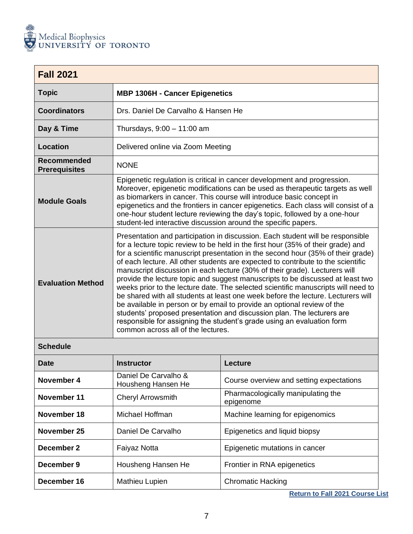

<span id="page-7-0"></span>

| <b>Fall 2021</b>                    |                                                                                                                                                                                                                                                                                                                                                                                                                                                                                                                                                                                                                                                                                                                                                                                                                                                                                                                                                          |
|-------------------------------------|----------------------------------------------------------------------------------------------------------------------------------------------------------------------------------------------------------------------------------------------------------------------------------------------------------------------------------------------------------------------------------------------------------------------------------------------------------------------------------------------------------------------------------------------------------------------------------------------------------------------------------------------------------------------------------------------------------------------------------------------------------------------------------------------------------------------------------------------------------------------------------------------------------------------------------------------------------|
| <b>Topic</b>                        | <b>MBP 1306H - Cancer Epigenetics</b>                                                                                                                                                                                                                                                                                                                                                                                                                                                                                                                                                                                                                                                                                                                                                                                                                                                                                                                    |
| <b>Coordinators</b>                 | Drs. Daniel De Carvalho & Hansen He                                                                                                                                                                                                                                                                                                                                                                                                                                                                                                                                                                                                                                                                                                                                                                                                                                                                                                                      |
| Day & Time                          | Thursdays, $9:00 - 11:00$ am                                                                                                                                                                                                                                                                                                                                                                                                                                                                                                                                                                                                                                                                                                                                                                                                                                                                                                                             |
| Location                            | Delivered online via Zoom Meeting                                                                                                                                                                                                                                                                                                                                                                                                                                                                                                                                                                                                                                                                                                                                                                                                                                                                                                                        |
| Recommended<br><b>Prerequisites</b> | <b>NONE</b>                                                                                                                                                                                                                                                                                                                                                                                                                                                                                                                                                                                                                                                                                                                                                                                                                                                                                                                                              |
| <b>Module Goals</b>                 | Epigenetic regulation is critical in cancer development and progression.<br>Moreover, epigenetic modifications can be used as therapeutic targets as well<br>as biomarkers in cancer. This course will introduce basic concept in<br>epigenetics and the frontiers in cancer epigenetics. Each class will consist of a<br>one-hour student lecture reviewing the day's topic, followed by a one-hour<br>student-led interactive discussion around the specific papers.                                                                                                                                                                                                                                                                                                                                                                                                                                                                                   |
| <b>Evaluation Method</b>            | Presentation and participation in discussion. Each student will be responsible<br>for a lecture topic review to be held in the first hour (35% of their grade) and<br>for a scientific manuscript presentation in the second hour (35% of their grade)<br>of each lecture. All other students are expected to contribute to the scientific<br>manuscript discussion in each lecture (30% of their grade). Lecturers will<br>provide the lecture topic and suggest manuscripts to be discussed at least two<br>weeks prior to the lecture date. The selected scientific manuscripts will need to<br>be shared with all students at least one week before the lecture. Lecturers will<br>be available in person or by email to provide an optional review of the<br>students' proposed presentation and discussion plan. The lecturers are<br>responsible for assigning the student's grade using an evaluation form<br>common across all of the lectures. |
| $0 - b - d$                         |                                                                                                                                                                                                                                                                                                                                                                                                                                                                                                                                                                                                                                                                                                                                                                                                                                                                                                                                                          |

| <b>Schedule</b> |
|-----------------|
|-----------------|

| <b>Date</b> | <b>Instructor</b>                          | <b>Lecture</b>                                  |
|-------------|--------------------------------------------|-------------------------------------------------|
| November 4  | Daniel De Carvalho &<br>Housheng Hansen He | Course overview and setting expectations        |
| November 11 | <b>Cheryl Arrowsmith</b>                   | Pharmacologically manipulating the<br>epigenome |
| November 18 | Michael Hoffman                            | Machine learning for epigenomics                |
| November 25 | Daniel De Carvalho                         | Epigenetics and liquid biopsy                   |
| December 2  | Faiyaz Notta                               | Epigenetic mutations in cancer                  |
| December 9  | Housheng Hansen He                         | Frontier in RNA epigenetics                     |
| December 16 | Mathieu Lupien                             | <b>Chromatic Hacking</b>                        |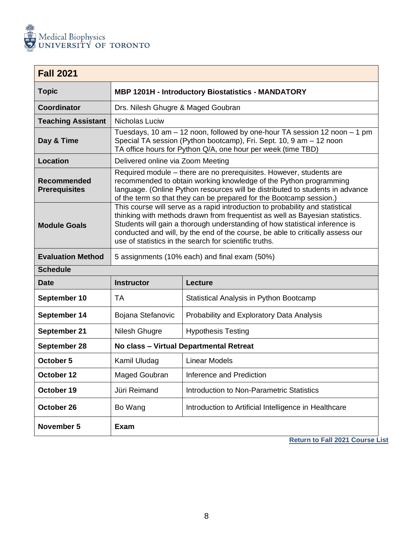

<span id="page-8-0"></span>

| <b>Fall 2021</b>                           |                                                                                                                                                                                                                                                                                                                                                                                          |                                                                                                                                                                                                                                                                                                  |  |  |
|--------------------------------------------|------------------------------------------------------------------------------------------------------------------------------------------------------------------------------------------------------------------------------------------------------------------------------------------------------------------------------------------------------------------------------------------|--------------------------------------------------------------------------------------------------------------------------------------------------------------------------------------------------------------------------------------------------------------------------------------------------|--|--|
| <b>Topic</b>                               | <b>MBP 1201H - Introductory Biostatistics - MANDATORY</b>                                                                                                                                                                                                                                                                                                                                |                                                                                                                                                                                                                                                                                                  |  |  |
| <b>Coordinator</b>                         |                                                                                                                                                                                                                                                                                                                                                                                          | Drs. Nilesh Ghugre & Maged Goubran                                                                                                                                                                                                                                                               |  |  |
| <b>Teaching Assistant</b>                  | Nicholas Luciw                                                                                                                                                                                                                                                                                                                                                                           |                                                                                                                                                                                                                                                                                                  |  |  |
| Day & Time                                 |                                                                                                                                                                                                                                                                                                                                                                                          | Tuesdays, 10 am - 12 noon, followed by one-hour TA session 12 noon - 1 pm<br>Special TA session (Python bootcamp), Fri. Sept. 10, 9 am - 12 noon<br>TA office hours for Python Q/A, one hour per week (time TBD)                                                                                 |  |  |
| <b>Location</b>                            | Delivered online via Zoom Meeting                                                                                                                                                                                                                                                                                                                                                        |                                                                                                                                                                                                                                                                                                  |  |  |
| <b>Recommended</b><br><b>Prerequisites</b> |                                                                                                                                                                                                                                                                                                                                                                                          | Required module - there are no prerequisites. However, students are<br>recommended to obtain working knowledge of the Python programming<br>language. (Online Python resources will be distributed to students in advance<br>of the term so that they can be prepared for the Bootcamp session.) |  |  |
| <b>Module Goals</b>                        | This course will serve as a rapid introduction to probability and statistical<br>thinking with methods drawn from frequentist as well as Bayesian statistics.<br>Students will gain a thorough understanding of how statistical inference is<br>conducted and will, by the end of the course, be able to critically assess our<br>use of statistics in the search for scientific truths. |                                                                                                                                                                                                                                                                                                  |  |  |
| <b>Evaluation Method</b>                   |                                                                                                                                                                                                                                                                                                                                                                                          | 5 assignments (10% each) and final exam (50%)                                                                                                                                                                                                                                                    |  |  |
| <b>Schedule</b>                            |                                                                                                                                                                                                                                                                                                                                                                                          |                                                                                                                                                                                                                                                                                                  |  |  |
| <b>Date</b>                                | <b>Instructor</b>                                                                                                                                                                                                                                                                                                                                                                        | <b>Lecture</b>                                                                                                                                                                                                                                                                                   |  |  |
| September 10                               | <b>TA</b>                                                                                                                                                                                                                                                                                                                                                                                | Statistical Analysis in Python Bootcamp                                                                                                                                                                                                                                                          |  |  |
| September 14                               | Bojana Stefanovic                                                                                                                                                                                                                                                                                                                                                                        | Probability and Exploratory Data Analysis                                                                                                                                                                                                                                                        |  |  |
| September 21                               | Nilesh Ghugre<br><b>Hypothesis Testing</b>                                                                                                                                                                                                                                                                                                                                               |                                                                                                                                                                                                                                                                                                  |  |  |
| September 28                               | No class - Virtual Departmental Retreat                                                                                                                                                                                                                                                                                                                                                  |                                                                                                                                                                                                                                                                                                  |  |  |
| October 5                                  | Kamil Uludag                                                                                                                                                                                                                                                                                                                                                                             | <b>Linear Models</b>                                                                                                                                                                                                                                                                             |  |  |
| October 12                                 | Maged Goubran                                                                                                                                                                                                                                                                                                                                                                            | Inference and Prediction                                                                                                                                                                                                                                                                         |  |  |
| October 19                                 | Jüri Reimand                                                                                                                                                                                                                                                                                                                                                                             | Introduction to Non-Parametric Statistics                                                                                                                                                                                                                                                        |  |  |
| October 26                                 | Bo Wang                                                                                                                                                                                                                                                                                                                                                                                  | Introduction to Artificial Intelligence in Healthcare                                                                                                                                                                                                                                            |  |  |
| November 5                                 | <b>Exam</b>                                                                                                                                                                                                                                                                                                                                                                              |                                                                                                                                                                                                                                                                                                  |  |  |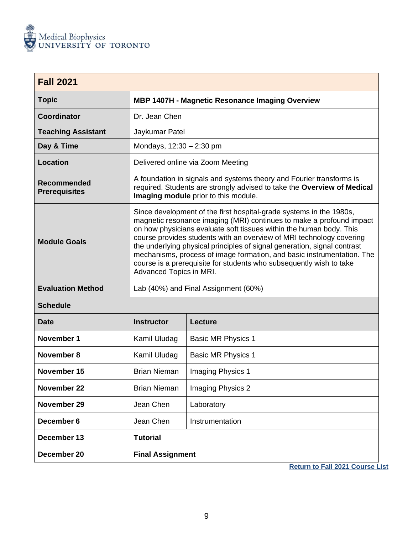

<span id="page-9-0"></span>

| <b>Fall 2021</b>                    |                                                                                                                                                                                                                                                                                                                                                                                                                                                                                                                                                    |                                                                                                                                                                                         |  |
|-------------------------------------|----------------------------------------------------------------------------------------------------------------------------------------------------------------------------------------------------------------------------------------------------------------------------------------------------------------------------------------------------------------------------------------------------------------------------------------------------------------------------------------------------------------------------------------------------|-----------------------------------------------------------------------------------------------------------------------------------------------------------------------------------------|--|
| <b>Topic</b>                        | <b>MBP 1407H - Magnetic Resonance Imaging Overview</b>                                                                                                                                                                                                                                                                                                                                                                                                                                                                                             |                                                                                                                                                                                         |  |
| Coordinator                         | Dr. Jean Chen                                                                                                                                                                                                                                                                                                                                                                                                                                                                                                                                      |                                                                                                                                                                                         |  |
| <b>Teaching Assistant</b>           | Jaykumar Patel                                                                                                                                                                                                                                                                                                                                                                                                                                                                                                                                     |                                                                                                                                                                                         |  |
| Day & Time                          | Mondays, 12:30 - 2:30 pm                                                                                                                                                                                                                                                                                                                                                                                                                                                                                                                           |                                                                                                                                                                                         |  |
| <b>Location</b>                     |                                                                                                                                                                                                                                                                                                                                                                                                                                                                                                                                                    | Delivered online via Zoom Meeting                                                                                                                                                       |  |
| Recommended<br><b>Prerequisites</b> |                                                                                                                                                                                                                                                                                                                                                                                                                                                                                                                                                    | A foundation in signals and systems theory and Fourier transforms is<br>required. Students are strongly advised to take the Overview of Medical<br>Imaging module prior to this module. |  |
| <b>Module Goals</b>                 | Since development of the first hospital-grade systems in the 1980s,<br>magnetic resonance imaging (MRI) continues to make a profound impact<br>on how physicians evaluate soft tissues within the human body. This<br>course provides students with an overview of MRI technology covering<br>the underlying physical principles of signal generation, signal contrast<br>mechanisms, process of image formation, and basic instrumentation. The<br>course is a prerequisite for students who subsequently wish to take<br>Advanced Topics in MRI. |                                                                                                                                                                                         |  |
| <b>Evaluation Method</b>            | Lab (40%) and Final Assignment (60%)                                                                                                                                                                                                                                                                                                                                                                                                                                                                                                               |                                                                                                                                                                                         |  |
| <b>Schedule</b>                     |                                                                                                                                                                                                                                                                                                                                                                                                                                                                                                                                                    |                                                                                                                                                                                         |  |
| <b>Date</b>                         | <b>Instructor</b><br><b>Lecture</b>                                                                                                                                                                                                                                                                                                                                                                                                                                                                                                                |                                                                                                                                                                                         |  |
| November 1                          | Kamil Uludag                                                                                                                                                                                                                                                                                                                                                                                                                                                                                                                                       | <b>Basic MR Physics 1</b>                                                                                                                                                               |  |
| <b>November 8</b>                   | Kamil Uludag                                                                                                                                                                                                                                                                                                                                                                                                                                                                                                                                       | <b>Basic MR Physics 1</b>                                                                                                                                                               |  |
| November 15                         | <b>Brian Nieman</b>                                                                                                                                                                                                                                                                                                                                                                                                                                                                                                                                | Imaging Physics 1                                                                                                                                                                       |  |
| November 22                         | <b>Brian Nieman</b>                                                                                                                                                                                                                                                                                                                                                                                                                                                                                                                                | <b>Imaging Physics 2</b>                                                                                                                                                                |  |
| November 29                         | Jean Chen                                                                                                                                                                                                                                                                                                                                                                                                                                                                                                                                          | Laboratory                                                                                                                                                                              |  |
| December 6                          | Jean Chen                                                                                                                                                                                                                                                                                                                                                                                                                                                                                                                                          | Instrumentation                                                                                                                                                                         |  |
| December 13                         | <b>Tutorial</b>                                                                                                                                                                                                                                                                                                                                                                                                                                                                                                                                    |                                                                                                                                                                                         |  |
| December 20                         | <b>Final Assignment</b>                                                                                                                                                                                                                                                                                                                                                                                                                                                                                                                            |                                                                                                                                                                                         |  |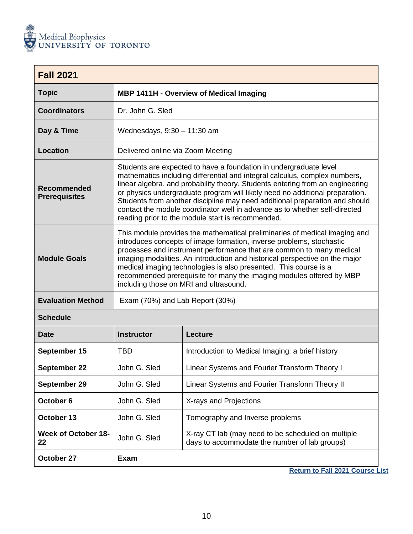

<span id="page-10-0"></span>

| <b>Fall 2021</b>                           |                                                                                                                                                                                                                                                                                                                                                                                                                                                                                                                                    |         |
|--------------------------------------------|------------------------------------------------------------------------------------------------------------------------------------------------------------------------------------------------------------------------------------------------------------------------------------------------------------------------------------------------------------------------------------------------------------------------------------------------------------------------------------------------------------------------------------|---------|
| <b>Topic</b>                               | <b>MBP 1411H - Overview of Medical Imaging</b>                                                                                                                                                                                                                                                                                                                                                                                                                                                                                     |         |
| <b>Coordinators</b>                        | Dr. John G. Sled                                                                                                                                                                                                                                                                                                                                                                                                                                                                                                                   |         |
| Day & Time                                 | Wednesdays, $9:30 - 11:30$ am                                                                                                                                                                                                                                                                                                                                                                                                                                                                                                      |         |
| <b>Location</b>                            | Delivered online via Zoom Meeting                                                                                                                                                                                                                                                                                                                                                                                                                                                                                                  |         |
| <b>Recommended</b><br><b>Prerequisites</b> | Students are expected to have a foundation in undergraduate level<br>mathematics including differential and integral calculus, complex numbers,<br>linear algebra, and probability theory. Students entering from an engineering<br>or physics undergraduate program will likely need no additional preparation.<br>Students from another discipline may need additional preparation and should<br>contact the module coordinator well in advance as to whether self-directed<br>reading prior to the module start is recommended. |         |
| <b>Module Goals</b>                        | This module provides the mathematical preliminaries of medical imaging and<br>introduces concepts of image formation, inverse problems, stochastic<br>processes and instrument performance that are common to many medical<br>imaging modalities. An introduction and historical perspective on the major<br>medical imaging technologies is also presented. This course is a<br>recommended prerequisite for many the imaging modules offered by MBP<br>including those on MRI and ultrasound.                                    |         |
| <b>Evaluation Method</b>                   | Exam (70%) and Lab Report (30%)                                                                                                                                                                                                                                                                                                                                                                                                                                                                                                    |         |
| <b>Schedule</b>                            |                                                                                                                                                                                                                                                                                                                                                                                                                                                                                                                                    |         |
| Date                                       | Instructor                                                                                                                                                                                                                                                                                                                                                                                                                                                                                                                         | Lecture |

| Date                      | <b>Instructor</b> | Lecture                                                                                             |
|---------------------------|-------------------|-----------------------------------------------------------------------------------------------------|
| September 15              | TBD               | Introduction to Medical Imaging: a brief history                                                    |
| September 22              | John G. Sled      | Linear Systems and Fourier Transform Theory I                                                       |
| September 29              | John G. Sled      | Linear Systems and Fourier Transform Theory II                                                      |
| October 6                 | John G. Sled      | X-rays and Projections                                                                              |
| October 13                | John G. Sled      | Tomography and Inverse problems                                                                     |
| Week of October 18-<br>22 | John G. Sled      | X-ray CT lab (may need to be scheduled on multiple<br>days to accommodate the number of lab groups) |
| October 27                | Exam              |                                                                                                     |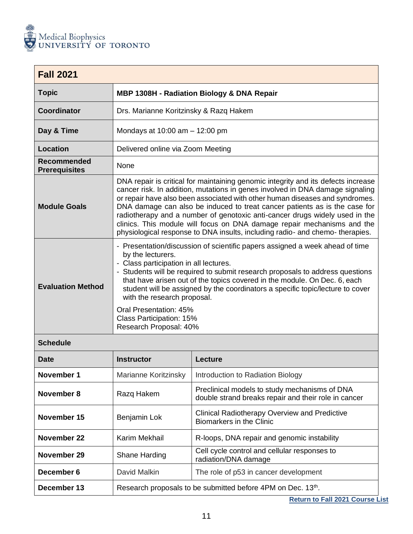

<span id="page-11-0"></span>

| <b>Fall 2021</b>                    |                                                                                                                                                                                                                                                                                                                                                                                                                                                                                                                                                                             |
|-------------------------------------|-----------------------------------------------------------------------------------------------------------------------------------------------------------------------------------------------------------------------------------------------------------------------------------------------------------------------------------------------------------------------------------------------------------------------------------------------------------------------------------------------------------------------------------------------------------------------------|
| <b>Topic</b>                        | MBP 1308H - Radiation Biology & DNA Repair                                                                                                                                                                                                                                                                                                                                                                                                                                                                                                                                  |
| <b>Coordinator</b>                  | Drs. Marianne Koritzinsky & Razq Hakem                                                                                                                                                                                                                                                                                                                                                                                                                                                                                                                                      |
| Day & Time                          | Mondays at $10:00$ am $- 12:00$ pm                                                                                                                                                                                                                                                                                                                                                                                                                                                                                                                                          |
| <b>Location</b>                     | Delivered online via Zoom Meeting                                                                                                                                                                                                                                                                                                                                                                                                                                                                                                                                           |
| Recommended<br><b>Prerequisites</b> | None                                                                                                                                                                                                                                                                                                                                                                                                                                                                                                                                                                        |
| <b>Module Goals</b>                 | DNA repair is critical for maintaining genomic integrity and its defects increase<br>cancer risk. In addition, mutations in genes involved in DNA damage signaling<br>or repair have also been associated with other human diseases and syndromes.<br>DNA damage can also be induced to treat cancer patients as is the case for<br>radiotherapy and a number of genotoxic anti-cancer drugs widely used in the<br>clinics. This module will focus on DNA damage repair mechanisms and the<br>physiological response to DNA insults, including radio- and chemo- therapies. |
| <b>Evaluation Method</b>            | - Presentation/discussion of scientific papers assigned a week ahead of time<br>by the lecturers.<br>- Class participation in all lectures.<br>- Students will be required to submit research proposals to address questions<br>that have arisen out of the topics covered in the module. On Dec. 6, each<br>student will be assigned by the coordinators a specific topic/lecture to cover<br>with the research proposal.<br>Oral Presentation: 45%<br>Class Participation: 15%<br>Research Proposal: 40%                                                                  |

| <b>Date</b> | Instructor                                                  | Lecture                                                                                               |
|-------------|-------------------------------------------------------------|-------------------------------------------------------------------------------------------------------|
| November 1  | Marianne Koritzinsky                                        | Introduction to Radiation Biology                                                                     |
| November 8  | Razg Hakem                                                  | Preclinical models to study mechanisms of DNA<br>double strand breaks repair and their role in cancer |
| November 15 | Benjamin Lok                                                | <b>Clinical Radiotherapy Overview and Predictive</b><br>Biomarkers in the Clinic                      |
| November 22 | Karim Mekhail                                               | R-loops, DNA repair and genomic instability                                                           |
| November 29 | Shane Harding                                               | Cell cycle control and cellular responses to<br>radiation/DNA damage                                  |
| December 6  | David Malkin                                                | The role of p53 in cancer development                                                                 |
| December 13 | Research proposals to be submitted before 4PM on Dec. 13th. |                                                                                                       |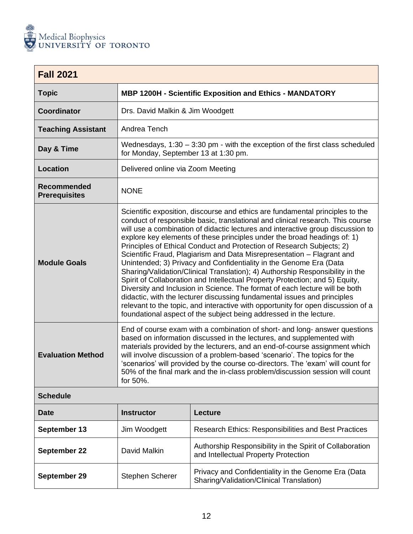

<span id="page-12-0"></span>

| <b>Fall 2021</b>                           |                                                                                                                                                                                                                                                                                                                                                                                                                                                                                                                                                                                                                                                                                                                                                                                                                                                                                                                                                                                                                                               |                                                                                |  |
|--------------------------------------------|-----------------------------------------------------------------------------------------------------------------------------------------------------------------------------------------------------------------------------------------------------------------------------------------------------------------------------------------------------------------------------------------------------------------------------------------------------------------------------------------------------------------------------------------------------------------------------------------------------------------------------------------------------------------------------------------------------------------------------------------------------------------------------------------------------------------------------------------------------------------------------------------------------------------------------------------------------------------------------------------------------------------------------------------------|--------------------------------------------------------------------------------|--|
| <b>Topic</b>                               |                                                                                                                                                                                                                                                                                                                                                                                                                                                                                                                                                                                                                                                                                                                                                                                                                                                                                                                                                                                                                                               | <b>MBP 1200H - Scientific Exposition and Ethics - MANDATORY</b>                |  |
| <b>Coordinator</b>                         | Drs. David Malkin & Jim Woodgett                                                                                                                                                                                                                                                                                                                                                                                                                                                                                                                                                                                                                                                                                                                                                                                                                                                                                                                                                                                                              |                                                                                |  |
| <b>Teaching Assistant</b>                  | Andrea Tench                                                                                                                                                                                                                                                                                                                                                                                                                                                                                                                                                                                                                                                                                                                                                                                                                                                                                                                                                                                                                                  |                                                                                |  |
| Day & Time                                 | for Monday, September 13 at 1:30 pm.                                                                                                                                                                                                                                                                                                                                                                                                                                                                                                                                                                                                                                                                                                                                                                                                                                                                                                                                                                                                          | Wednesdays, $1:30 - 3:30$ pm - with the exception of the first class scheduled |  |
| <b>Location</b>                            | Delivered online via Zoom Meeting                                                                                                                                                                                                                                                                                                                                                                                                                                                                                                                                                                                                                                                                                                                                                                                                                                                                                                                                                                                                             |                                                                                |  |
| <b>Recommended</b><br><b>Prerequisites</b> | <b>NONE</b>                                                                                                                                                                                                                                                                                                                                                                                                                                                                                                                                                                                                                                                                                                                                                                                                                                                                                                                                                                                                                                   |                                                                                |  |
| <b>Module Goals</b>                        | Scientific exposition, discourse and ethics are fundamental principles to the<br>conduct of responsible basic, translational and clinical research. This course<br>will use a combination of didactic lectures and interactive group discussion to<br>explore key elements of these principles under the broad headings of: 1)<br>Principles of Ethical Conduct and Protection of Research Subjects; 2)<br>Scientific Fraud, Plagiarism and Data Misrepresentation - Flagrant and<br>Unintended; 3) Privacy and Confidentiality in the Genome Era (Data<br>Sharing/Validation/Clinical Translation); 4) Authorship Responsibility in the<br>Spirit of Collaboration and Intellectual Property Protection; and 5) Equity,<br>Diversity and Inclusion in Science. The format of each lecture will be both<br>didactic, with the lecturer discussing fundamental issues and principles<br>relevant to the topic, and interactive with opportunity for open discussion of a<br>foundational aspect of the subject being addressed in the lecture. |                                                                                |  |
| <b>Evaluation Method</b>                   | End of course exam with a combination of short- and long- answer questions<br>based on information discussed in the lectures, and supplemented with<br>materials provided by the lecturers, and an end-of-course assignment which<br>will involve discussion of a problem-based 'scenario'. The topics for the<br>'scenarios' will provided by the course co-directors. The 'exam' will count for<br>50% of the final mark and the in-class problem/discussion session will count<br>for 50%.                                                                                                                                                                                                                                                                                                                                                                                                                                                                                                                                                 |                                                                                |  |
| <b>Schedule</b>                            |                                                                                                                                                                                                                                                                                                                                                                                                                                                                                                                                                                                                                                                                                                                                                                                                                                                                                                                                                                                                                                               |                                                                                |  |
| <b>Date</b>                                | <b>Instructor</b>                                                                                                                                                                                                                                                                                                                                                                                                                                                                                                                                                                                                                                                                                                                                                                                                                                                                                                                                                                                                                             | Lecture                                                                        |  |
| September 13                               | Jim Woodgett                                                                                                                                                                                                                                                                                                                                                                                                                                                                                                                                                                                                                                                                                                                                                                                                                                                                                                                                                                                                                                  | Research Ethics: Responsibilities and Best Practices                           |  |

| September 22 | David Malkin           | Authorship Responsibility in the Spirit of Collaboration<br>and Intellectual Property Protection |
|--------------|------------------------|--------------------------------------------------------------------------------------------------|
| September 29 | <b>Stephen Scherer</b> | Privacy and Confidentiality in the Genome Era (Data<br>Sharing/Validation/Clinical Translation)  |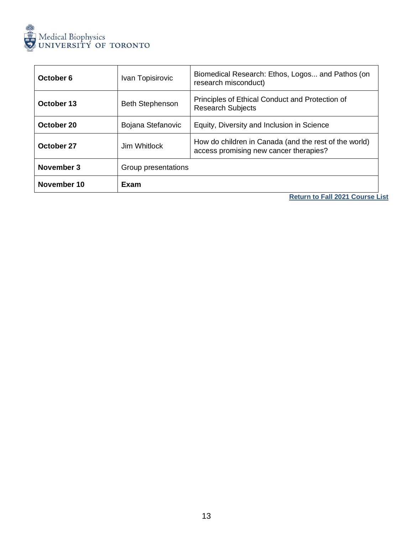

| October 6   | Ivan Topisirovic                                                                                                | Biomedical Research: Ethos, Logos and Pathos (on<br>research misconduct)    |
|-------------|-----------------------------------------------------------------------------------------------------------------|-----------------------------------------------------------------------------|
| October 13  | <b>Beth Stephenson</b>                                                                                          | Principles of Ethical Conduct and Protection of<br><b>Research Subjects</b> |
| October 20  | Bojana Stefanovic                                                                                               | Equity, Diversity and Inclusion in Science                                  |
| October 27  | How do children in Canada (and the rest of the world)<br>Jim Whitlock<br>access promising new cancer therapies? |                                                                             |
| November 3  | Group presentations                                                                                             |                                                                             |
| November 10 | Exam                                                                                                            |                                                                             |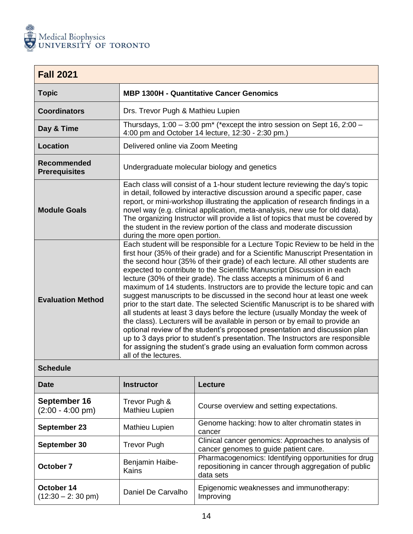

<span id="page-14-0"></span>

| <b>Fall 2021</b>                    |                                                                                                                                                                                                                                                                                                                                                                                                                                                                                                                                                                                                                                                                                                                                                                                                                                                                                                                                                                                                                                                                                   |  |
|-------------------------------------|-----------------------------------------------------------------------------------------------------------------------------------------------------------------------------------------------------------------------------------------------------------------------------------------------------------------------------------------------------------------------------------------------------------------------------------------------------------------------------------------------------------------------------------------------------------------------------------------------------------------------------------------------------------------------------------------------------------------------------------------------------------------------------------------------------------------------------------------------------------------------------------------------------------------------------------------------------------------------------------------------------------------------------------------------------------------------------------|--|
| <b>Topic</b>                        | <b>MBP 1300H - Quantitative Cancer Genomics</b>                                                                                                                                                                                                                                                                                                                                                                                                                                                                                                                                                                                                                                                                                                                                                                                                                                                                                                                                                                                                                                   |  |
| <b>Coordinators</b>                 | Drs. Trevor Pugh & Mathieu Lupien                                                                                                                                                                                                                                                                                                                                                                                                                                                                                                                                                                                                                                                                                                                                                                                                                                                                                                                                                                                                                                                 |  |
| Day & Time                          | Thursdays, $1:00 - 3:00$ pm <sup>*</sup> (*except the intro session on Sept 16, 2:00 -<br>4:00 pm and October 14 lecture, 12:30 - 2:30 pm.)                                                                                                                                                                                                                                                                                                                                                                                                                                                                                                                                                                                                                                                                                                                                                                                                                                                                                                                                       |  |
| <b>Location</b>                     | Delivered online via Zoom Meeting                                                                                                                                                                                                                                                                                                                                                                                                                                                                                                                                                                                                                                                                                                                                                                                                                                                                                                                                                                                                                                                 |  |
| Recommended<br><b>Prerequisites</b> | Undergraduate molecular biology and genetics                                                                                                                                                                                                                                                                                                                                                                                                                                                                                                                                                                                                                                                                                                                                                                                                                                                                                                                                                                                                                                      |  |
| <b>Module Goals</b>                 | Each class will consist of a 1-hour student lecture reviewing the day's topic<br>in detail, followed by interactive discussion around a specific paper, case<br>report, or mini-workshop illustrating the application of research findings in a<br>novel way (e.g. clinical application, meta-analysis, new use for old data).<br>The organizing Instructor will provide a list of topics that must be covered by<br>the student in the review portion of the class and moderate discussion<br>during the more open portion.                                                                                                                                                                                                                                                                                                                                                                                                                                                                                                                                                      |  |
| <b>Evaluation Method</b>            | Each student will be responsible for a Lecture Topic Review to be held in the<br>first hour (35% of their grade) and for a Scientific Manuscript Presentation in<br>the second hour (35% of their grade) of each lecture. All other students are<br>expected to contribute to the Scientific Manuscript Discussion in each<br>lecture (30% of their grade). The class accepts a minimum of 6 and<br>maximum of 14 students. Instructors are to provide the lecture topic and can<br>suggest manuscripts to be discussed in the second hour at least one week<br>prior to the start date. The selected Scientific Manuscript is to be shared with<br>all students at least 3 days before the lecture (usually Monday the week of<br>the class). Lecturers will be available in person or by email to provide an<br>optional review of the student's proposed presentation and discussion plan<br>up to 3 days prior to student's presentation. The Instructors are responsible<br>for assigning the student's grade using an evaluation form common across<br>all of the lectures. |  |

L

| Date                                       | <b>Instructor</b>               | Lecture                                                                                                                    |
|--------------------------------------------|---------------------------------|----------------------------------------------------------------------------------------------------------------------------|
| September 16<br>$(2:00 - 4:00 \text{ pm})$ | Trevor Pugh &<br>Mathieu Lupien | Course overview and setting expectations.                                                                                  |
| September 23                               | Mathieu Lupien                  | Genome hacking: how to alter chromatin states in<br>cancer                                                                 |
| September 30                               | <b>Trevor Pugh</b>              | Clinical cancer genomics: Approaches to analysis of<br>cancer genomes to guide patient care.                               |
| October 7                                  | Benjamin Haibe-<br>Kains        | Pharmacogenomics: Identifying opportunities for drug<br>repositioning in cancer through aggregation of public<br>data sets |
| October 14<br>$(12:30 - 2:30 \text{ pm})$  | Daniel De Carvalho              | Epigenomic weaknesses and immunotherapy:<br>Improving                                                                      |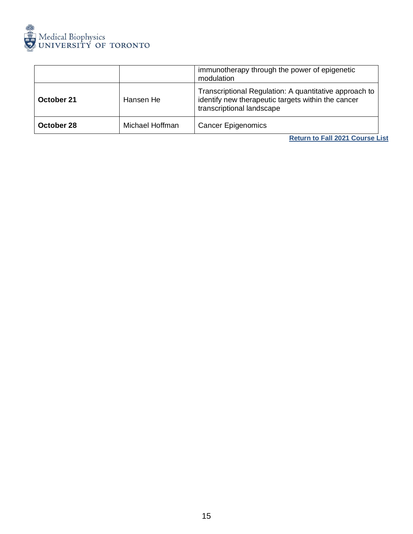

|            |                 | immunotherapy through the power of epigenetic<br>modulation                                                                               |
|------------|-----------------|-------------------------------------------------------------------------------------------------------------------------------------------|
| October 21 | Hansen He       | Transcriptional Regulation: A quantitative approach to<br>identify new therapeutic targets within the cancer<br>transcriptional landscape |
| October 28 | Michael Hoffman | <b>Cancer Epigenomics</b>                                                                                                                 |
|            |                 | <b>Return to Fall 2021 Course List</b>                                                                                                    |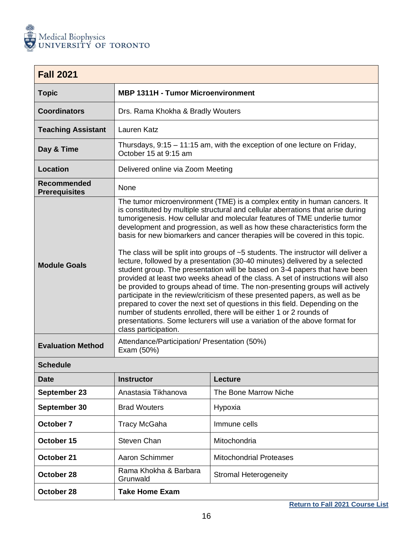

<span id="page-16-0"></span>

| <b>Fall 2021</b>                    |                                                                                                                                                                                                                                                                                                                                                                                                                                                                                                                                                                                                                                                                                                                                                                                                                                                                                                                                                                                                                                                                                                                                                                           |                                                                          |  |
|-------------------------------------|---------------------------------------------------------------------------------------------------------------------------------------------------------------------------------------------------------------------------------------------------------------------------------------------------------------------------------------------------------------------------------------------------------------------------------------------------------------------------------------------------------------------------------------------------------------------------------------------------------------------------------------------------------------------------------------------------------------------------------------------------------------------------------------------------------------------------------------------------------------------------------------------------------------------------------------------------------------------------------------------------------------------------------------------------------------------------------------------------------------------------------------------------------------------------|--------------------------------------------------------------------------|--|
| <b>Topic</b>                        | <b>MBP 1311H - Tumor Microenvironment</b>                                                                                                                                                                                                                                                                                                                                                                                                                                                                                                                                                                                                                                                                                                                                                                                                                                                                                                                                                                                                                                                                                                                                 |                                                                          |  |
| <b>Coordinators</b>                 | Drs. Rama Khokha & Bradly Wouters                                                                                                                                                                                                                                                                                                                                                                                                                                                                                                                                                                                                                                                                                                                                                                                                                                                                                                                                                                                                                                                                                                                                         |                                                                          |  |
| <b>Teaching Assistant</b>           | Lauren Katz                                                                                                                                                                                                                                                                                                                                                                                                                                                                                                                                                                                                                                                                                                                                                                                                                                                                                                                                                                                                                                                                                                                                                               |                                                                          |  |
| Day & Time                          | October 15 at 9:15 am                                                                                                                                                                                                                                                                                                                                                                                                                                                                                                                                                                                                                                                                                                                                                                                                                                                                                                                                                                                                                                                                                                                                                     | Thursdays, 9:15 - 11:15 am, with the exception of one lecture on Friday, |  |
| <b>Location</b>                     | Delivered online via Zoom Meeting                                                                                                                                                                                                                                                                                                                                                                                                                                                                                                                                                                                                                                                                                                                                                                                                                                                                                                                                                                                                                                                                                                                                         |                                                                          |  |
| Recommended<br><b>Prerequisites</b> | None                                                                                                                                                                                                                                                                                                                                                                                                                                                                                                                                                                                                                                                                                                                                                                                                                                                                                                                                                                                                                                                                                                                                                                      |                                                                          |  |
| <b>Module Goals</b>                 | The tumor microenvironment (TME) is a complex entity in human cancers. It<br>is constituted by multiple structural and cellular aberrations that arise during<br>tumorigenesis. How cellular and molecular features of TME underlie tumor<br>development and progression, as well as how these characteristics form the<br>basis for new biomarkers and cancer therapies will be covered in this topic.<br>The class will be split into groups of $~5$ students. The instructor will deliver a<br>lecture, followed by a presentation (30-40 minutes) delivered by a selected<br>student group. The presentation will be based on 3-4 papers that have been<br>provided at least two weeks ahead of the class. A set of instructions will also<br>be provided to groups ahead of time. The non-presenting groups will actively<br>participate in the review/criticism of these presented papers, as well as be<br>prepared to cover the next set of questions in this field. Depending on the<br>number of students enrolled, there will be either 1 or 2 rounds of<br>presentations. Some lecturers will use a variation of the above format for<br>class participation. |                                                                          |  |
| <b>Evaluation Method</b>            | Attendance/Participation/ Presentation (50%)<br>Exam (50%)                                                                                                                                                                                                                                                                                                                                                                                                                                                                                                                                                                                                                                                                                                                                                                                                                                                                                                                                                                                                                                                                                                                |                                                                          |  |
| <b>Schedule</b>                     |                                                                                                                                                                                                                                                                                                                                                                                                                                                                                                                                                                                                                                                                                                                                                                                                                                                                                                                                                                                                                                                                                                                                                                           |                                                                          |  |
| <b>Date</b>                         | <b>Instructor</b>                                                                                                                                                                                                                                                                                                                                                                                                                                                                                                                                                                                                                                                                                                                                                                                                                                                                                                                                                                                                                                                                                                                                                         | Lecture                                                                  |  |
| September 23                        | Anastasia Tikhanova                                                                                                                                                                                                                                                                                                                                                                                                                                                                                                                                                                                                                                                                                                                                                                                                                                                                                                                                                                                                                                                                                                                                                       | The Bone Marrow Niche                                                    |  |
| September 30                        | <b>Brad Wouters</b>                                                                                                                                                                                                                                                                                                                                                                                                                                                                                                                                                                                                                                                                                                                                                                                                                                                                                                                                                                                                                                                                                                                                                       | Hypoxia                                                                  |  |
| October 7                           | <b>Tracy McGaha</b>                                                                                                                                                                                                                                                                                                                                                                                                                                                                                                                                                                                                                                                                                                                                                                                                                                                                                                                                                                                                                                                                                                                                                       | Immune cells                                                             |  |
| October 15                          | Steven Chan                                                                                                                                                                                                                                                                                                                                                                                                                                                                                                                                                                                                                                                                                                                                                                                                                                                                                                                                                                                                                                                                                                                                                               | Mitochondria                                                             |  |
| October 21                          | Aaron Schimmer                                                                                                                                                                                                                                                                                                                                                                                                                                                                                                                                                                                                                                                                                                                                                                                                                                                                                                                                                                                                                                                                                                                                                            | <b>Mitochondrial Proteases</b>                                           |  |
| October 28                          | Rama Khokha & Barbara<br>Grunwald                                                                                                                                                                                                                                                                                                                                                                                                                                                                                                                                                                                                                                                                                                                                                                                                                                                                                                                                                                                                                                                                                                                                         | <b>Stromal Heterogeneity</b>                                             |  |
| October 28                          | <b>Take Home Exam</b>                                                                                                                                                                                                                                                                                                                                                                                                                                                                                                                                                                                                                                                                                                                                                                                                                                                                                                                                                                                                                                                                                                                                                     |                                                                          |  |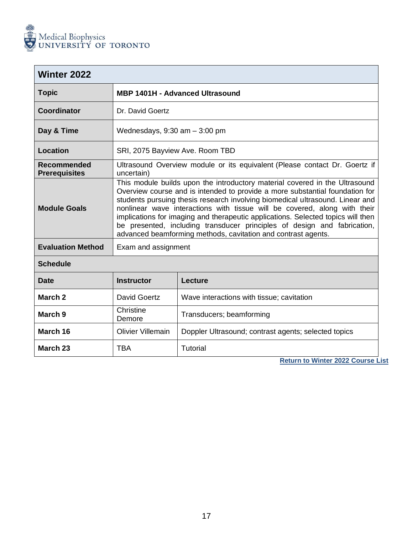

**March 23** TBA Tutorial

<span id="page-17-0"></span>

| <b>Winter 2022</b>                  |                                                                                                                                                                                                                                                                                                                                                                                                                                                                                                                                                            |                                                                            |
|-------------------------------------|------------------------------------------------------------------------------------------------------------------------------------------------------------------------------------------------------------------------------------------------------------------------------------------------------------------------------------------------------------------------------------------------------------------------------------------------------------------------------------------------------------------------------------------------------------|----------------------------------------------------------------------------|
| <b>Topic</b>                        |                                                                                                                                                                                                                                                                                                                                                                                                                                                                                                                                                            | <b>MBP 1401H - Advanced Ultrasound</b>                                     |
| <b>Coordinator</b>                  | Dr. David Goertz                                                                                                                                                                                                                                                                                                                                                                                                                                                                                                                                           |                                                                            |
| Day & Time                          | Wednesdays, $9:30$ am $-3:00$ pm                                                                                                                                                                                                                                                                                                                                                                                                                                                                                                                           |                                                                            |
| Location                            | SRI, 2075 Bayview Ave. Room TBD                                                                                                                                                                                                                                                                                                                                                                                                                                                                                                                            |                                                                            |
| Recommended<br><b>Prerequisites</b> | uncertain)                                                                                                                                                                                                                                                                                                                                                                                                                                                                                                                                                 | Ultrasound Overview module or its equivalent (Please contact Dr. Goertz if |
| <b>Module Goals</b>                 | This module builds upon the introductory material covered in the Ultrasound<br>Overview course and is intended to provide a more substantial foundation for<br>students pursuing thesis research involving biomedical ultrasound. Linear and<br>nonlinear wave interactions with tissue will be covered, along with their<br>implications for imaging and therapeutic applications. Selected topics will then<br>be presented, including transducer principles of design and fabrication,<br>advanced beamforming methods, cavitation and contrast agents. |                                                                            |
| <b>Evaluation Method</b>            | Exam and assignment                                                                                                                                                                                                                                                                                                                                                                                                                                                                                                                                        |                                                                            |
| <b>Schedule</b>                     |                                                                                                                                                                                                                                                                                                                                                                                                                                                                                                                                                            |                                                                            |
| <b>Date</b>                         | <b>Instructor</b>                                                                                                                                                                                                                                                                                                                                                                                                                                                                                                                                          | Lecture                                                                    |
| March <sub>2</sub>                  | David Goertz                                                                                                                                                                                                                                                                                                                                                                                                                                                                                                                                               | Wave interactions with tissue; cavitation                                  |
| March <sub>9</sub>                  | Christine<br>Demore                                                                                                                                                                                                                                                                                                                                                                                                                                                                                                                                        | Transducers; beamforming                                                   |
| March 16                            | <b>Olivier Villemain</b>                                                                                                                                                                                                                                                                                                                                                                                                                                                                                                                                   | Doppler Ultrasound; contrast agents; selected topics                       |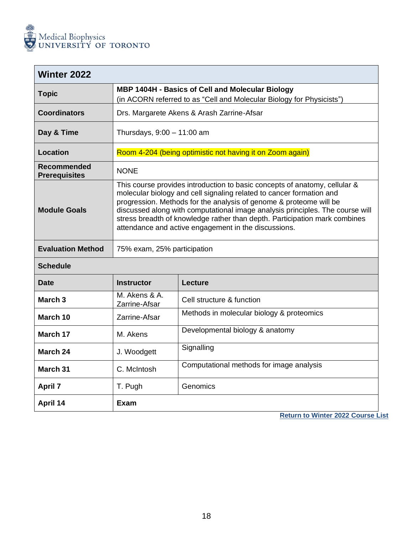

**April 7** 

**April 14** 

<span id="page-18-0"></span>

| <b>Winter 2022</b>                         |                                                                                                                                                                                                                                                                                                                                                                                                                                                 |                                                           |  |
|--------------------------------------------|-------------------------------------------------------------------------------------------------------------------------------------------------------------------------------------------------------------------------------------------------------------------------------------------------------------------------------------------------------------------------------------------------------------------------------------------------|-----------------------------------------------------------|--|
| <b>Topic</b>                               | MBP 1404H - Basics of Cell and Molecular Biology<br>(in ACORN referred to as "Cell and Molecular Biology for Physicists")                                                                                                                                                                                                                                                                                                                       |                                                           |  |
| <b>Coordinators</b>                        |                                                                                                                                                                                                                                                                                                                                                                                                                                                 | Drs. Margarete Akens & Arash Zarrine-Afsar                |  |
| Day & Time                                 | Thursdays, $9:00 - 11:00$ am                                                                                                                                                                                                                                                                                                                                                                                                                    |                                                           |  |
| <b>Location</b>                            |                                                                                                                                                                                                                                                                                                                                                                                                                                                 | Room 4-204 (being optimistic not having it on Zoom again) |  |
| <b>Recommended</b><br><b>Prerequisites</b> | <b>NONE</b>                                                                                                                                                                                                                                                                                                                                                                                                                                     |                                                           |  |
| <b>Module Goals</b>                        | This course provides introduction to basic concepts of anatomy, cellular &<br>molecular biology and cell signaling related to cancer formation and<br>progression. Methods for the analysis of genome & proteome will be<br>discussed along with computational image analysis principles. The course will<br>stress breadth of knowledge rather than depth. Participation mark combines<br>attendance and active engagement in the discussions. |                                                           |  |
| <b>Evaluation Method</b>                   | 75% exam, 25% participation                                                                                                                                                                                                                                                                                                                                                                                                                     |                                                           |  |
| <b>Schedule</b>                            |                                                                                                                                                                                                                                                                                                                                                                                                                                                 |                                                           |  |
| <b>Date</b>                                | <b>Instructor</b>                                                                                                                                                                                                                                                                                                                                                                                                                               | <b>Lecture</b>                                            |  |
| March <sub>3</sub>                         | M. Akens & A.<br>Zarrine-Afsar                                                                                                                                                                                                                                                                                                                                                                                                                  | Cell structure & function                                 |  |
| March 10                                   | Zarrine-Afsar                                                                                                                                                                                                                                                                                                                                                                                                                                   | Methods in molecular biology & proteomics                 |  |
| March 17                                   | M. Akens                                                                                                                                                                                                                                                                                                                                                                                                                                        | Developmental biology & anatomy                           |  |
| March 24                                   | J. Woodgett                                                                                                                                                                                                                                                                                                                                                                                                                                     | Signalling                                                |  |
| <b>March 31</b>                            | C. McIntosh                                                                                                                                                                                                                                                                                                                                                                                                                                     | Computational methods for image analysis                  |  |

| T. Pugh | Genomics |  |
|---------|----------|--|
| Exam    |          |  |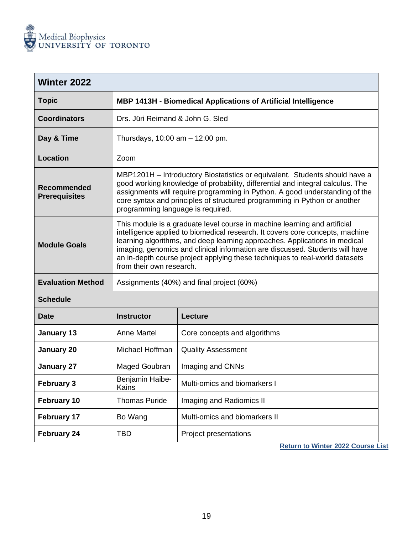

<span id="page-19-0"></span>

| <b>Winter 2022</b>                         |                                                                                                                                                                                                                                                                                                                                                                                                                                     |                                                   |
|--------------------------------------------|-------------------------------------------------------------------------------------------------------------------------------------------------------------------------------------------------------------------------------------------------------------------------------------------------------------------------------------------------------------------------------------------------------------------------------------|---------------------------------------------------|
| <b>Topic</b>                               | MBP 1413H - Biomedical Applications of Artificial Intelligence                                                                                                                                                                                                                                                                                                                                                                      |                                                   |
| <b>Coordinators</b>                        | Drs. Jüri Reimand & John G. Sled                                                                                                                                                                                                                                                                                                                                                                                                    |                                                   |
| Day & Time                                 | Thursdays, 10:00 am - 12:00 pm.                                                                                                                                                                                                                                                                                                                                                                                                     |                                                   |
| <b>Location</b>                            | Zoom                                                                                                                                                                                                                                                                                                                                                                                                                                |                                                   |
| <b>Recommended</b><br><b>Prerequisites</b> | MBP1201H – Introductory Biostatistics or equivalent. Students should have a<br>good working knowledge of probability, differential and integral calculus. The<br>assignments will require programming in Python. A good understanding of the<br>core syntax and principles of structured programming in Python or another<br>programming language is required.                                                                      |                                                   |
| <b>Module Goals</b>                        | This module is a graduate level course in machine learning and artificial<br>intelligence applied to biomedical research. It covers core concepts, machine<br>learning algorithms, and deep learning approaches. Applications in medical<br>imaging, genomics and clinical information are discussed. Students will have<br>an in-depth course project applying these techniques to real-world datasets<br>from their own research. |                                                   |
| <b>Evaluation Method</b>                   | Assignments (40%) and final project (60%)                                                                                                                                                                                                                                                                                                                                                                                           |                                                   |
| <b>Schedule</b>                            |                                                                                                                                                                                                                                                                                                                                                                                                                                     |                                                   |
| <b>Date</b>                                | <b>Instructor</b>                                                                                                                                                                                                                                                                                                                                                                                                                   | Lecture                                           |
| <b>January 13</b>                          | Anne Martel                                                                                                                                                                                                                                                                                                                                                                                                                         | Core concepts and algorithms                      |
| <b>January 20</b>                          | Michael Hoffman                                                                                                                                                                                                                                                                                                                                                                                                                     | <b>Quality Assessment</b>                         |
| <b>January 27</b>                          | Maged Goubran                                                                                                                                                                                                                                                                                                                                                                                                                       | Imaging and CNNs                                  |
| <b>February 3</b>                          | Benjamin Haibe-<br>Kains                                                                                                                                                                                                                                                                                                                                                                                                            | Multi-omics and biomarkers I                      |
| February 10                                | <b>Thomas Puride</b>                                                                                                                                                                                                                                                                                                                                                                                                                | Imaging and Radiomics II                          |
| February 17                                | Bo Wang                                                                                                                                                                                                                                                                                                                                                                                                                             | Multi-omics and biomarkers II                     |
| <b>February 24</b>                         | TBD                                                                                                                                                                                                                                                                                                                                                                                                                                 | Project presentations<br><b>NAME OF</b><br>0.0000 |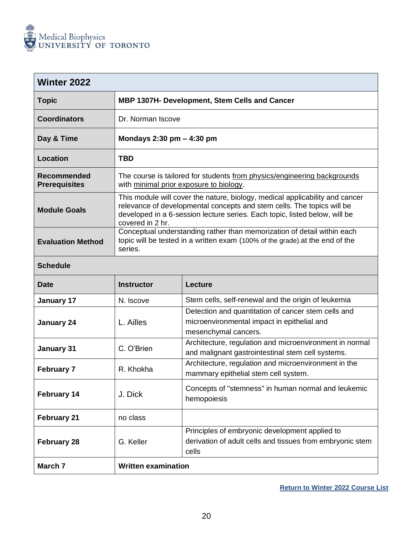

<span id="page-20-0"></span>

| <b>Winter 2022</b>                  |                                                                                                                                                                                                                                                          |  |  |
|-------------------------------------|----------------------------------------------------------------------------------------------------------------------------------------------------------------------------------------------------------------------------------------------------------|--|--|
| <b>Topic</b>                        | <b>MBP 1307H- Development, Stem Cells and Cancer</b>                                                                                                                                                                                                     |  |  |
| <b>Coordinators</b>                 | Dr. Norman Iscove                                                                                                                                                                                                                                        |  |  |
| Day & Time                          | Mondays $2:30$ pm $-$ 4:30 pm                                                                                                                                                                                                                            |  |  |
| <b>Location</b>                     | TBD                                                                                                                                                                                                                                                      |  |  |
| Recommended<br><b>Prerequisites</b> | The course is tailored for students from physics/engineering backgrounds<br>with minimal prior exposure to biology.                                                                                                                                      |  |  |
| <b>Module Goals</b>                 | This module will cover the nature, biology, medical applicability and cancer<br>relevance of developmental concepts and stem cells. The topics will be<br>developed in a 6-session lecture series. Each topic, listed below, will be<br>covered in 2 hr. |  |  |
| <b>Evaluation Method</b>            | Conceptual understanding rather than memorization of detail within each<br>topic will be tested in a written exam (100% of the grade) at the end of the<br>series.                                                                                       |  |  |

| <b>Date</b>        | <b>Instructor</b>          | Lecture                                                                                                                    |
|--------------------|----------------------------|----------------------------------------------------------------------------------------------------------------------------|
| January 17         | N. Iscove                  | Stem cells, self-renewal and the origin of leukemia                                                                        |
| <b>January 24</b>  | L. Ailles                  | Detection and quantitation of cancer stem cells and<br>microenvironmental impact in epithelial and<br>mesenchymal cancers. |
| January 31         | C. O'Brien                 | Architecture, regulation and microenvironment in normal<br>and malignant gastrointestinal stem cell systems.               |
| <b>February 7</b>  | R. Khokha                  | Architecture, regulation and microenvironment in the<br>mammary epithelial stem cell system.                               |
| <b>February 14</b> | J. Dick                    | Concepts of "stemness" in human normal and leukemic<br>hemopoiesis                                                         |
| <b>February 21</b> | no class                   |                                                                                                                            |
| <b>February 28</b> | G. Keller                  | Principles of embryonic development applied to<br>derivation of adult cells and tissues from embryonic stem<br>cells       |
| March <sub>7</sub> | <b>Written examination</b> |                                                                                                                            |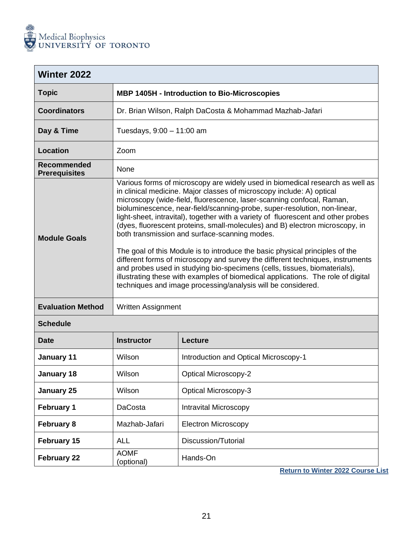

<span id="page-21-0"></span>

| <b>Winter 2022</b>                         |                                                                                                                                                                                                                                                                                                                                                                                                                                                                                                                                                                                                                                                                                                                                                                                                                                                                                                                                       |                                                          |  |  |
|--------------------------------------------|---------------------------------------------------------------------------------------------------------------------------------------------------------------------------------------------------------------------------------------------------------------------------------------------------------------------------------------------------------------------------------------------------------------------------------------------------------------------------------------------------------------------------------------------------------------------------------------------------------------------------------------------------------------------------------------------------------------------------------------------------------------------------------------------------------------------------------------------------------------------------------------------------------------------------------------|----------------------------------------------------------|--|--|
| <b>Topic</b>                               | <b>MBP 1405H - Introduction to Bio-Microscopies</b>                                                                                                                                                                                                                                                                                                                                                                                                                                                                                                                                                                                                                                                                                                                                                                                                                                                                                   |                                                          |  |  |
| <b>Coordinators</b>                        |                                                                                                                                                                                                                                                                                                                                                                                                                                                                                                                                                                                                                                                                                                                                                                                                                                                                                                                                       | Dr. Brian Wilson, Ralph DaCosta & Mohammad Mazhab-Jafari |  |  |
| Day & Time                                 | Tuesdays, 9:00 - 11:00 am                                                                                                                                                                                                                                                                                                                                                                                                                                                                                                                                                                                                                                                                                                                                                                                                                                                                                                             |                                                          |  |  |
| <b>Location</b>                            | Zoom                                                                                                                                                                                                                                                                                                                                                                                                                                                                                                                                                                                                                                                                                                                                                                                                                                                                                                                                  |                                                          |  |  |
| <b>Recommended</b><br><b>Prerequisites</b> | None                                                                                                                                                                                                                                                                                                                                                                                                                                                                                                                                                                                                                                                                                                                                                                                                                                                                                                                                  |                                                          |  |  |
| <b>Module Goals</b>                        | Various forms of microscopy are widely used in biomedical research as well as<br>in clinical medicine. Major classes of microscopy include: A) optical<br>microscopy (wide-field, fluorescence, laser-scanning confocal, Raman,<br>bioluminescence, near-field/scanning-probe, super-resolution, non-linear,<br>light-sheet, intravital), together with a variety of fluorescent and other probes<br>(dyes, fluorescent proteins, small-molecules) and B) electron microscopy, in<br>both transmission and surface-scanning modes.<br>The goal of this Module is to introduce the basic physical principles of the<br>different forms of microscopy and survey the different techniques, instruments<br>and probes used in studying bio-specimens (cells, tissues, biomaterials),<br>illustrating these with examples of biomedical applications. The role of digital<br>techniques and image processing/analysis will be considered. |                                                          |  |  |
| <b>Evaluation Method</b>                   | <b>Written Assignment</b>                                                                                                                                                                                                                                                                                                                                                                                                                                                                                                                                                                                                                                                                                                                                                                                                                                                                                                             |                                                          |  |  |
| <b>Schedule</b>                            |                                                                                                                                                                                                                                                                                                                                                                                                                                                                                                                                                                                                                                                                                                                                                                                                                                                                                                                                       |                                                          |  |  |
| <b>Date</b>                                | <b>Instructor</b><br><b>Lecture</b>                                                                                                                                                                                                                                                                                                                                                                                                                                                                                                                                                                                                                                                                                                                                                                                                                                                                                                   |                                                          |  |  |
| <b>January 11</b>                          | Wilson                                                                                                                                                                                                                                                                                                                                                                                                                                                                                                                                                                                                                                                                                                                                                                                                                                                                                                                                | Introduction and Optical Microscopy-1                    |  |  |
| January 18                                 | Wilson<br><b>Optical Microscopy-2</b>                                                                                                                                                                                                                                                                                                                                                                                                                                                                                                                                                                                                                                                                                                                                                                                                                                                                                                 |                                                          |  |  |
| January 25                                 | <b>Optical Microscopy-3</b><br>Wilson                                                                                                                                                                                                                                                                                                                                                                                                                                                                                                                                                                                                                                                                                                                                                                                                                                                                                                 |                                                          |  |  |
| <b>February 1</b>                          | <b>Intravital Microscopy</b><br><b>DaCosta</b>                                                                                                                                                                                                                                                                                                                                                                                                                                                                                                                                                                                                                                                                                                                                                                                                                                                                                        |                                                          |  |  |
| <b>February 8</b>                          | <b>Electron Microscopy</b><br>Mazhab-Jafari                                                                                                                                                                                                                                                                                                                                                                                                                                                                                                                                                                                                                                                                                                                                                                                                                                                                                           |                                                          |  |  |
| February 15                                | <b>ALL</b><br>Discussion/Tutorial                                                                                                                                                                                                                                                                                                                                                                                                                                                                                                                                                                                                                                                                                                                                                                                                                                                                                                     |                                                          |  |  |
| <b>February 22</b>                         | <b>AOMF</b><br>Hands-On<br>(optional)                                                                                                                                                                                                                                                                                                                                                                                                                                                                                                                                                                                                                                                                                                                                                                                                                                                                                                 |                                                          |  |  |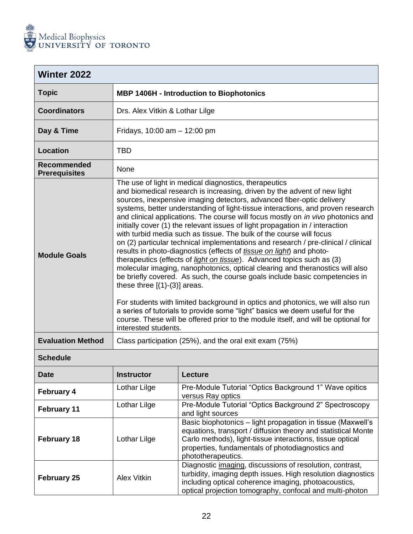

<span id="page-22-0"></span>

| <b>Winter 2022</b>                  |                                                                                                                                                                                                                                                                                                                                                                                                                                                                                                                                                                                                                                                                                                                                                                                                                                                                                                                                                                                                                                                                                                                                                                                                                                                                                           |  |  |
|-------------------------------------|-------------------------------------------------------------------------------------------------------------------------------------------------------------------------------------------------------------------------------------------------------------------------------------------------------------------------------------------------------------------------------------------------------------------------------------------------------------------------------------------------------------------------------------------------------------------------------------------------------------------------------------------------------------------------------------------------------------------------------------------------------------------------------------------------------------------------------------------------------------------------------------------------------------------------------------------------------------------------------------------------------------------------------------------------------------------------------------------------------------------------------------------------------------------------------------------------------------------------------------------------------------------------------------------|--|--|
| <b>Topic</b>                        | <b>MBP 1406H - Introduction to Biophotonics</b>                                                                                                                                                                                                                                                                                                                                                                                                                                                                                                                                                                                                                                                                                                                                                                                                                                                                                                                                                                                                                                                                                                                                                                                                                                           |  |  |
| <b>Coordinators</b>                 | Drs. Alex Vitkin & Lothar Lilge                                                                                                                                                                                                                                                                                                                                                                                                                                                                                                                                                                                                                                                                                                                                                                                                                                                                                                                                                                                                                                                                                                                                                                                                                                                           |  |  |
| Day & Time                          | Fridays, $10:00$ am $- 12:00$ pm                                                                                                                                                                                                                                                                                                                                                                                                                                                                                                                                                                                                                                                                                                                                                                                                                                                                                                                                                                                                                                                                                                                                                                                                                                                          |  |  |
| Location                            | <b>TBD</b>                                                                                                                                                                                                                                                                                                                                                                                                                                                                                                                                                                                                                                                                                                                                                                                                                                                                                                                                                                                                                                                                                                                                                                                                                                                                                |  |  |
| Recommended<br><b>Prerequisites</b> | None                                                                                                                                                                                                                                                                                                                                                                                                                                                                                                                                                                                                                                                                                                                                                                                                                                                                                                                                                                                                                                                                                                                                                                                                                                                                                      |  |  |
| <b>Module Goals</b>                 | The use of light in medical diagnostics, therapeutics<br>and biomedical research is increasing, driven by the advent of new light<br>sources, inexpensive imaging detectors, advanced fiber-optic delivery<br>systems, better understanding of light-tissue interactions, and proven research<br>and clinical applications. The course will focus mostly on <i>in vivo</i> photonics and<br>initially cover (1) the relevant issues of light propagation in / interaction<br>with turbid media such as tissue. The bulk of the course will focus<br>on (2) particular technical implementations and research / pre-clinical / clinical<br>results in photo-diagnostics (effects of <i>tissue on light</i> ) and photo-<br>therapeutics (effects of <i>light on tissue</i> ). Advanced topics such as (3)<br>molecular imaging, nanophotonics, optical clearing and theranostics will also<br>be briefly covered. As such, the course goals include basic competencies in<br>these three $[(1)-(3)]$ areas.<br>For students with limited background in optics and photonics, we will also run<br>a series of tutorials to provide some "light" basics we deem useful for the<br>course. These will be offered prior to the module itself, and will be optional for<br>interested students. |  |  |
| <b>Evaluation Method</b>            | Class participation (25%), and the oral exit exam (75%)                                                                                                                                                                                                                                                                                                                                                                                                                                                                                                                                                                                                                                                                                                                                                                                                                                                                                                                                                                                                                                                                                                                                                                                                                                   |  |  |

| <b>Date</b>        | <b>Instructor</b>  | Lecture                                                                                                                                                                                                                                                             |  |
|--------------------|--------------------|---------------------------------------------------------------------------------------------------------------------------------------------------------------------------------------------------------------------------------------------------------------------|--|
| <b>February 4</b>  | Lothar Lilge       | Pre-Module Tutorial "Optics Background 1" Wave opitics<br>versus Ray optics                                                                                                                                                                                         |  |
| <b>February 11</b> | Lothar Lilge       | Pre-Module Tutorial "Optics Background 2" Spectroscopy<br>and light sources                                                                                                                                                                                         |  |
| <b>February 18</b> | Lothar Lilge       | Basic biophotonics – light propagation in tissue (Maxwell's<br>equations, transport / diffusion theory and statistical Monte<br>Carlo methods), light-tissue interactions, tissue optical<br>properties, fundamentals of photodiagnostics and<br>phototherapeutics. |  |
| <b>February 25</b> | <b>Alex Vitkin</b> | Diagnostic imaging, discussions of resolution, contrast,<br>turbidity, imaging depth issues. High resolution diagnostics<br>including optical coherence imaging, photoacoustics,<br>optical projection tomography, confocal and multi-photon                        |  |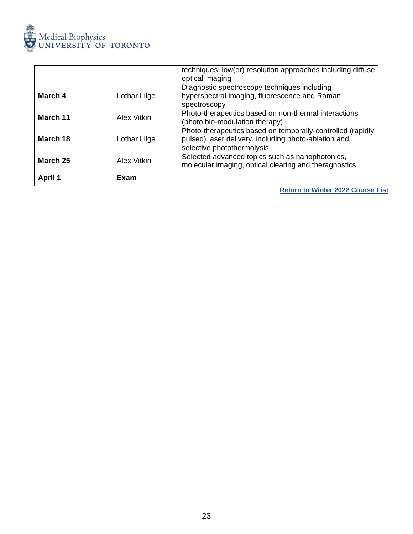

|                |              | techniques; low(er) resolution approaches including diffuse<br>optical imaging                                                                   |
|----------------|--------------|--------------------------------------------------------------------------------------------------------------------------------------------------|
| March 4        | Lothar Lilge | Diagnostic spectroscopy techniques including<br>hyperspectral imaging, fluorescence and Raman<br>spectroscopy                                    |
| March 11       | Alex Vitkin  | Photo-therapeutics based on non-thermal interactions<br>(photo bio-modulation therapy)                                                           |
| March 18       | Lothar Lilge | Photo-therapeutics based on temporally-controlled (rapidly<br>pulsed) laser delivery, including photo-ablation and<br>selective photothermolysis |
| March 25       | Alex Vitkin  | Selected advanced topics such as nanophotonics,<br>molecular imaging, optical clearing and theragnostics                                         |
| <b>April 1</b> | Exam         |                                                                                                                                                  |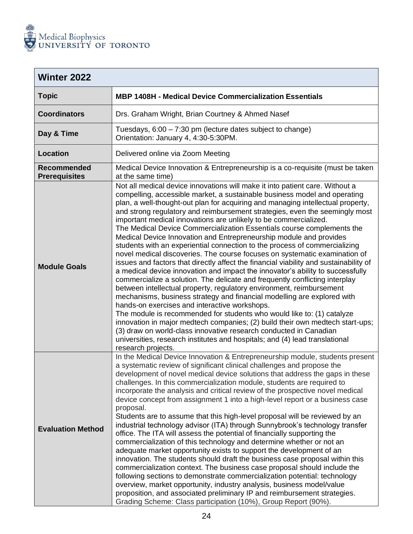

<span id="page-24-0"></span>

| <b>Winter 2022</b>                         |                                                                                                                                                                                                                                                                                                                                                                                                                                                                                                                                                                                                                                                                                                                                                                                                                                                                                                                                                                                                                                                                                                                                                                                                                                                                                                                                                                                                                                                                                                                |  |  |
|--------------------------------------------|----------------------------------------------------------------------------------------------------------------------------------------------------------------------------------------------------------------------------------------------------------------------------------------------------------------------------------------------------------------------------------------------------------------------------------------------------------------------------------------------------------------------------------------------------------------------------------------------------------------------------------------------------------------------------------------------------------------------------------------------------------------------------------------------------------------------------------------------------------------------------------------------------------------------------------------------------------------------------------------------------------------------------------------------------------------------------------------------------------------------------------------------------------------------------------------------------------------------------------------------------------------------------------------------------------------------------------------------------------------------------------------------------------------------------------------------------------------------------------------------------------------|--|--|
| <b>Topic</b>                               | <b>MBP 1408H - Medical Device Commercialization Essentials</b>                                                                                                                                                                                                                                                                                                                                                                                                                                                                                                                                                                                                                                                                                                                                                                                                                                                                                                                                                                                                                                                                                                                                                                                                                                                                                                                                                                                                                                                 |  |  |
| <b>Coordinators</b>                        | Drs. Graham Wright, Brian Courtney & Ahmed Nasef                                                                                                                                                                                                                                                                                                                                                                                                                                                                                                                                                                                                                                                                                                                                                                                                                                                                                                                                                                                                                                                                                                                                                                                                                                                                                                                                                                                                                                                               |  |  |
| Day & Time                                 | Tuesdays, 6:00 - 7:30 pm (lecture dates subject to change)<br>Orientation: January 4, 4:30-5:30PM.                                                                                                                                                                                                                                                                                                                                                                                                                                                                                                                                                                                                                                                                                                                                                                                                                                                                                                                                                                                                                                                                                                                                                                                                                                                                                                                                                                                                             |  |  |
| <b>Location</b>                            | Delivered online via Zoom Meeting                                                                                                                                                                                                                                                                                                                                                                                                                                                                                                                                                                                                                                                                                                                                                                                                                                                                                                                                                                                                                                                                                                                                                                                                                                                                                                                                                                                                                                                                              |  |  |
| <b>Recommended</b><br><b>Prerequisites</b> | Medical Device Innovation & Entrepreneurship is a co-requisite (must be taken<br>at the same time)                                                                                                                                                                                                                                                                                                                                                                                                                                                                                                                                                                                                                                                                                                                                                                                                                                                                                                                                                                                                                                                                                                                                                                                                                                                                                                                                                                                                             |  |  |
| <b>Module Goals</b>                        | Not all medical device innovations will make it into patient care. Without a<br>compelling, accessible market, a sustainable business model and operating<br>plan, a well-thought-out plan for acquiring and managing intellectual property,<br>and strong regulatory and reimbursement strategies, even the seemingly most<br>important medical innovations are unlikely to be commercialized.<br>The Medical Device Commercialization Essentials course complements the<br>Medical Device Innovation and Entrepreneurship module and provides<br>students with an experiential connection to the process of commercializing<br>novel medical discoveries. The course focuses on systematic examination of<br>issues and factors that directly affect the financial viability and sustainability of<br>a medical device innovation and impact the innovator's ability to successfully<br>commercialize a solution. The delicate and frequently conflicting interplay<br>between intellectual property, regulatory environment, reimbursement<br>mechanisms, business strategy and financial modelling are explored with<br>hands-on exercises and interactive workshops.<br>The module is recommended for students who would like to: (1) catalyze<br>innovation in major medtech companies; (2) build their own medtech start-ups;<br>(3) draw on world-class innovative research conducted in Canadian<br>universities, research institutes and hospitals; and (4) lead translational<br>research projects. |  |  |
| <b>Evaluation Method</b>                   | In the Medical Device Innovation & Entrepreneurship module, students present<br>a systematic review of significant clinical challenges and propose the<br>development of novel medical device solutions that address the gaps in these<br>challenges. In this commercialization module, students are required to<br>incorporate the analysis and critical review of the prospective novel medical<br>device concept from assignment 1 into a high-level report or a business case<br>proposal.<br>Students are to assume that this high-level proposal will be reviewed by an<br>industrial technology advisor (ITA) through Sunnybrook's technology transfer<br>office. The ITA will assess the potential of financially supporting the<br>commercialization of this technology and determine whether or not an<br>adequate market opportunity exists to support the development of an<br>innovation. The students should draft the business case proposal within this<br>commercialization context. The business case proposal should include the<br>following sections to demonstrate commercialization potential: technology<br>overview, market opportunity, industry analysis, business model/value<br>proposition, and associated preliminary IP and reimbursement strategies.<br>Grading Scheme: Class participation (10%), Group Report (90%).                                                                                                                                                        |  |  |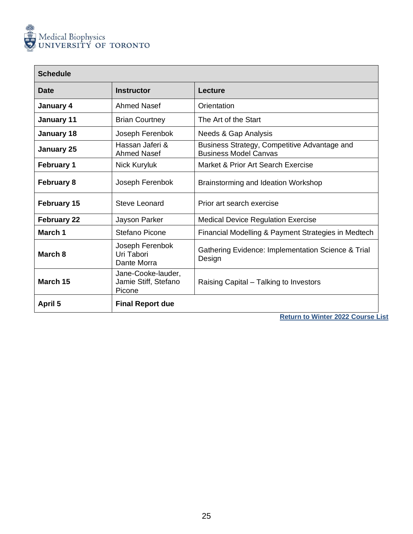

| <b>Schedule</b>    |                                                      |                                                                              |
|--------------------|------------------------------------------------------|------------------------------------------------------------------------------|
| Date               | <b>Instructor</b>                                    | Lecture                                                                      |
| January 4          | <b>Ahmed Nasef</b>                                   | Orientation                                                                  |
| January 11         | <b>Brian Courtney</b>                                | The Art of the Start                                                         |
| January 18         | Joseph Ferenbok                                      | Needs & Gap Analysis                                                         |
| <b>January 25</b>  | Hassan Jaferi &<br><b>Ahmed Nasef</b>                | Business Strategy, Competitive Advantage and<br><b>Business Model Canvas</b> |
| <b>February 1</b>  | Nick Kuryluk                                         | Market & Prior Art Search Exercise                                           |
| <b>February 8</b>  | Joseph Ferenbok                                      | Brainstorming and Ideation Workshop                                          |
| <b>February 15</b> | Steve Leonard                                        | Prior art search exercise                                                    |
| <b>February 22</b> | Jayson Parker                                        | <b>Medical Device Regulation Exercise</b>                                    |
| March 1            | Stefano Picone                                       | Financial Modelling & Payment Strategies in Medtech                          |
| March 8            | Joseph Ferenbok<br>Uri Tabori<br>Dante Morra         | Gathering Evidence: Implementation Science & Trial<br>Design                 |
| March 15           | Jane-Cooke-lauder,<br>Jamie Stiff, Stefano<br>Picone | Raising Capital – Talking to Investors                                       |
| April 5            | <b>Final Report due</b>                              |                                                                              |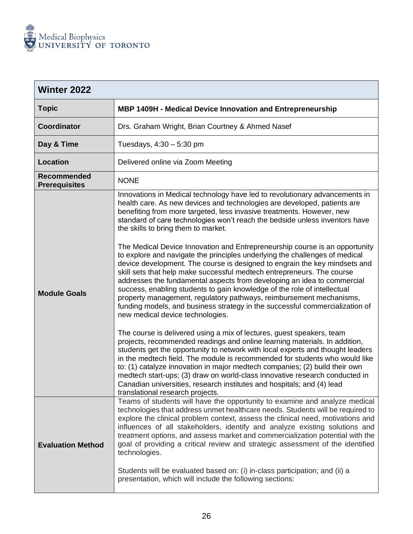

<span id="page-26-0"></span>

| <b>Winter 2022</b>                         |                                                                                                                                                                                                                                                                                                                                                                                                                                                                                                                                                                                                                                                                                                                                                                                                                                                                                                                                                                                                                                                                                                         |  |  |
|--------------------------------------------|---------------------------------------------------------------------------------------------------------------------------------------------------------------------------------------------------------------------------------------------------------------------------------------------------------------------------------------------------------------------------------------------------------------------------------------------------------------------------------------------------------------------------------------------------------------------------------------------------------------------------------------------------------------------------------------------------------------------------------------------------------------------------------------------------------------------------------------------------------------------------------------------------------------------------------------------------------------------------------------------------------------------------------------------------------------------------------------------------------|--|--|
| <b>Topic</b>                               | MBP 1409H - Medical Device Innovation and Entrepreneurship                                                                                                                                                                                                                                                                                                                                                                                                                                                                                                                                                                                                                                                                                                                                                                                                                                                                                                                                                                                                                                              |  |  |
| <b>Coordinator</b>                         | Drs. Graham Wright, Brian Courtney & Ahmed Nasef                                                                                                                                                                                                                                                                                                                                                                                                                                                                                                                                                                                                                                                                                                                                                                                                                                                                                                                                                                                                                                                        |  |  |
| Day & Time                                 | Tuesdays, $4:30 - 5:30$ pm                                                                                                                                                                                                                                                                                                                                                                                                                                                                                                                                                                                                                                                                                                                                                                                                                                                                                                                                                                                                                                                                              |  |  |
| <b>Location</b>                            | Delivered online via Zoom Meeting                                                                                                                                                                                                                                                                                                                                                                                                                                                                                                                                                                                                                                                                                                                                                                                                                                                                                                                                                                                                                                                                       |  |  |
| <b>Recommended</b><br><b>Prerequisites</b> | <b>NONE</b>                                                                                                                                                                                                                                                                                                                                                                                                                                                                                                                                                                                                                                                                                                                                                                                                                                                                                                                                                                                                                                                                                             |  |  |
| <b>Module Goals</b>                        | Innovations in Medical technology have led to revolutionary advancements in<br>health care. As new devices and technologies are developed, patients are<br>benefiting from more targeted, less invasive treatments. However, new<br>standard of care technologies won't reach the bedside unless inventors have<br>the skills to bring them to market.<br>The Medical Device Innovation and Entrepreneurship course is an opportunity<br>to explore and navigate the principles underlying the challenges of medical<br>device development. The course is designed to engrain the key mindsets and<br>skill sets that help make successful medtech entrepreneurs. The course<br>addresses the fundamental aspects from developing an idea to commercial<br>success, enabling students to gain knowledge of the role of intellectual<br>property management, regulatory pathways, reimbursement mechanisms,<br>funding models, and business strategy in the successful commercialization of<br>new medical device technologies.<br>The course is delivered using a mix of lectures, guest speakers, team |  |  |
|                                            | projects, recommended readings and online learning materials. In addition,<br>students get the opportunity to network with local experts and thought leaders<br>in the medtech field. The module is recommended for students who would like<br>to: (1) catalyze innovation in major medtech companies; (2) build their own<br>medtech start-ups; (3) draw on world-class innovative research conducted in<br>Canadian universities, research institutes and hospitals; and (4) lead<br>translational research projects.                                                                                                                                                                                                                                                                                                                                                                                                                                                                                                                                                                                 |  |  |
| <b>Evaluation Method</b>                   | Teams of students will have the opportunity to examine and analyze medical<br>technologies that address unmet healthcare needs. Students will be required to<br>explore the clinical problem context, assess the clinical need, motivations and<br>influences of all stakeholders, identify and analyze existing solutions and<br>treatment options, and assess market and commercialization potential with the<br>goal of providing a critical review and strategic assessment of the identified<br>technologies.<br>Students will be evaluated based on: (i) in-class participation; and (ii) a                                                                                                                                                                                                                                                                                                                                                                                                                                                                                                       |  |  |
|                                            | presentation, which will include the following sections:                                                                                                                                                                                                                                                                                                                                                                                                                                                                                                                                                                                                                                                                                                                                                                                                                                                                                                                                                                                                                                                |  |  |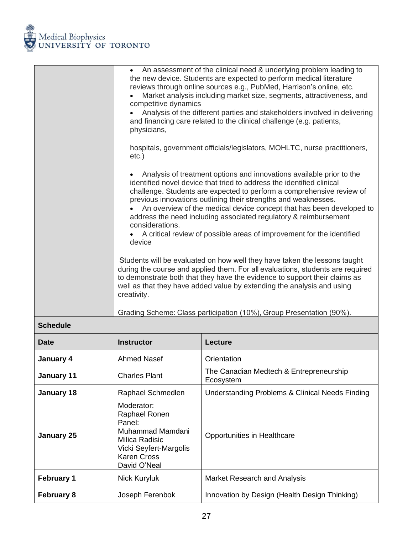

| An assessment of the clinical need & underlying problem leading to<br>$\bullet$<br>the new device. Students are expected to perform medical literature<br>reviews through online sources e.g., PubMed, Harrison's online, etc.<br>Market analysis including market size, segments, attractiveness, and<br>competitive dynamics<br>Analysis of the different parties and stakeholders involved in delivering<br>and financing care related to the clinical challenge (e.g. patients,<br>physicians,                                         |
|--------------------------------------------------------------------------------------------------------------------------------------------------------------------------------------------------------------------------------------------------------------------------------------------------------------------------------------------------------------------------------------------------------------------------------------------------------------------------------------------------------------------------------------------|
| hospitals, government officials/legislators, MOHLTC, nurse practitioners,<br>$etc.$ )                                                                                                                                                                                                                                                                                                                                                                                                                                                      |
| Analysis of treatment options and innovations available prior to the<br>identified novel device that tried to address the identified clinical<br>challenge. Students are expected to perform a comprehensive review of<br>previous innovations outlining their strengths and weaknesses.<br>An overview of the medical device concept that has been developed to<br>address the need including associated regulatory & reimbursement<br>considerations.<br>A critical review of possible areas of improvement for the identified<br>device |
| Students will be evaluated on how well they have taken the lessons taught<br>during the course and applied them. For all evaluations, students are required<br>to demonstrate both that they have the evidence to support their claims as<br>well as that they have added value by extending the analysis and using<br>creativity.                                                                                                                                                                                                         |
| Grading Scheme: Class participation (10%), Group Presentation (90%).                                                                                                                                                                                                                                                                                                                                                                                                                                                                       |

| <b>Date</b>       | <b>Instructor</b>                                                                                                                           | Lecture                                              |
|-------------------|---------------------------------------------------------------------------------------------------------------------------------------------|------------------------------------------------------|
| January 4         | Ahmed Nasef                                                                                                                                 | Orientation                                          |
| January 11        | <b>Charles Plant</b>                                                                                                                        | The Canadian Medtech & Entrepreneurship<br>Ecosystem |
| <b>January 18</b> | Raphael Schmedlen                                                                                                                           | Understanding Problems & Clinical Needs Finding      |
| <b>January 25</b> | Moderator:<br>Raphael Ronen<br>Panel:<br>Muhammad Mamdani<br>Milica Radisic<br>Vicki Seyfert-Margolis<br><b>Karen Cross</b><br>David O'Neal | Opportunities in Healthcare                          |
| <b>February 1</b> | Nick Kuryluk                                                                                                                                | Market Research and Analysis                         |
| <b>February 8</b> | Joseph Ferenbok                                                                                                                             | Innovation by Design (Health Design Thinking)        |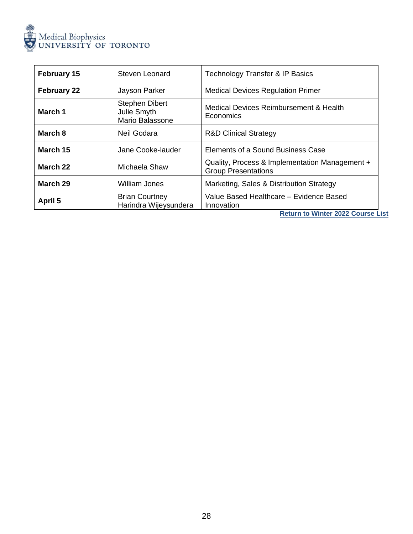

| <b>February 15</b> | Steven Leonard                                          | <b>Technology Transfer &amp; IP Basics</b>                                   |
|--------------------|---------------------------------------------------------|------------------------------------------------------------------------------|
| <b>February 22</b> | Jayson Parker                                           | <b>Medical Devices Regulation Primer</b>                                     |
| March 1            | <b>Stephen Dibert</b><br>Julie Smyth<br>Mario Balassone | Medical Devices Reimbursement & Health<br>Economics                          |
| March 8            | Neil Godara                                             | <b>R&amp;D Clinical Strategy</b>                                             |
| March 15           | Jane Cooke-lauder                                       | Elements of a Sound Business Case                                            |
| March 22           | Michaela Shaw                                           | Quality, Process & Implementation Management +<br><b>Group Presentations</b> |
| March 29           | William Jones                                           | Marketing, Sales & Distribution Strategy                                     |
| April 5            | <b>Brian Courtney</b><br>Harindra Wijeysundera          | Value Based Healthcare - Evidence Based<br>Innovation                        |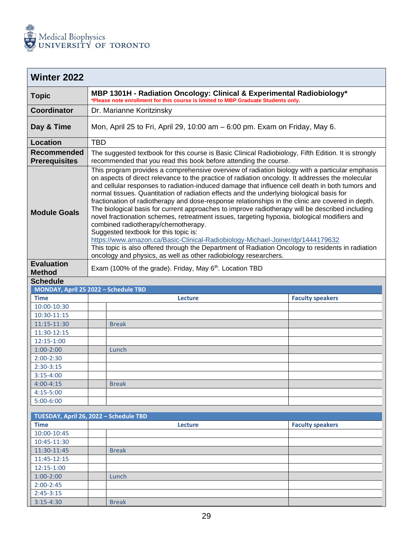

<span id="page-29-0"></span>

| <b>Winter 2022</b>                     |                                                                                                                                                            |                                                                                                                                                                                                                                                                                                                                                                                                                                                                                                                                                                                                                                                                                                                                                                                                                                                                                                                                                                                                                                                       |                         |  |  |  |
|----------------------------------------|------------------------------------------------------------------------------------------------------------------------------------------------------------|-------------------------------------------------------------------------------------------------------------------------------------------------------------------------------------------------------------------------------------------------------------------------------------------------------------------------------------------------------------------------------------------------------------------------------------------------------------------------------------------------------------------------------------------------------------------------------------------------------------------------------------------------------------------------------------------------------------------------------------------------------------------------------------------------------------------------------------------------------------------------------------------------------------------------------------------------------------------------------------------------------------------------------------------------------|-------------------------|--|--|--|
| <b>Topic</b>                           | MBP 1301H - Radiation Oncology: Clinical & Experimental Radiobiology*<br>*Please note enrollment for this course is limited to MBP Graduate Students only. |                                                                                                                                                                                                                                                                                                                                                                                                                                                                                                                                                                                                                                                                                                                                                                                                                                                                                                                                                                                                                                                       |                         |  |  |  |
| <b>Coordinator</b>                     |                                                                                                                                                            | Dr. Marianne Koritzinsky                                                                                                                                                                                                                                                                                                                                                                                                                                                                                                                                                                                                                                                                                                                                                                                                                                                                                                                                                                                                                              |                         |  |  |  |
| Day & Time                             |                                                                                                                                                            | Mon, April 25 to Fri, April 29, 10:00 am - 6:00 pm. Exam on Friday, May 6.                                                                                                                                                                                                                                                                                                                                                                                                                                                                                                                                                                                                                                                                                                                                                                                                                                                                                                                                                                            |                         |  |  |  |
| <b>Location</b>                        | <b>TBD</b>                                                                                                                                                 |                                                                                                                                                                                                                                                                                                                                                                                                                                                                                                                                                                                                                                                                                                                                                                                                                                                                                                                                                                                                                                                       |                         |  |  |  |
| Recommended<br><b>Prerequisites</b>    |                                                                                                                                                            | The suggested textbook for this course is Basic Clinical Radiobiology, Fifth Edition. It is strongly<br>recommended that you read this book before attending the course.                                                                                                                                                                                                                                                                                                                                                                                                                                                                                                                                                                                                                                                                                                                                                                                                                                                                              |                         |  |  |  |
| <b>Module Goals</b>                    |                                                                                                                                                            | This program provides a comprehensive overview of radiation biology with a particular emphasis<br>on aspects of direct relevance to the practice of radiation oncology. It addresses the molecular<br>and cellular responses to radiation-induced damage that influence cell death in both tumors and<br>normal tissues. Quantitation of radiation effects and the underlying biological basis for<br>fractionation of radiotherapy and dose-response relationships in the clinic are covered in depth.<br>The biological basis for current approaches to improve radiotherapy will be described including<br>novel fractionation schemes, retreatment issues, targeting hypoxia, biological modifiers and<br>combined radiotherapy/chemotherapy.<br>Suggested textbook for this topic is:<br>https://www.amazon.ca/Basic-Clinical-Radiobiology-Michael-Joiner/dp/1444179632<br>This topic is also offered through the Department of Radiation Oncology to residents in radiation<br>oncology and physics, as well as other radiobiology researchers. |                         |  |  |  |
| <b>Evaluation</b>                      |                                                                                                                                                            | Exam (100% of the grade). Friday, May 6 <sup>th</sup> . Location TBD                                                                                                                                                                                                                                                                                                                                                                                                                                                                                                                                                                                                                                                                                                                                                                                                                                                                                                                                                                                  |                         |  |  |  |
| <b>Method</b>                          |                                                                                                                                                            |                                                                                                                                                                                                                                                                                                                                                                                                                                                                                                                                                                                                                                                                                                                                                                                                                                                                                                                                                                                                                                                       |                         |  |  |  |
| <b>Schedule</b>                        |                                                                                                                                                            |                                                                                                                                                                                                                                                                                                                                                                                                                                                                                                                                                                                                                                                                                                                                                                                                                                                                                                                                                                                                                                                       |                         |  |  |  |
| MONDAY, April 25 2022 - Schedule TBD   |                                                                                                                                                            |                                                                                                                                                                                                                                                                                                                                                                                                                                                                                                                                                                                                                                                                                                                                                                                                                                                                                                                                                                                                                                                       |                         |  |  |  |
| <b>Time</b>                            |                                                                                                                                                            | <b>Lecture</b>                                                                                                                                                                                                                                                                                                                                                                                                                                                                                                                                                                                                                                                                                                                                                                                                                                                                                                                                                                                                                                        | <b>Faculty speakers</b> |  |  |  |
| 10:00-10:30                            |                                                                                                                                                            |                                                                                                                                                                                                                                                                                                                                                                                                                                                                                                                                                                                                                                                                                                                                                                                                                                                                                                                                                                                                                                                       |                         |  |  |  |
| 10:30-11:15                            |                                                                                                                                                            |                                                                                                                                                                                                                                                                                                                                                                                                                                                                                                                                                                                                                                                                                                                                                                                                                                                                                                                                                                                                                                                       |                         |  |  |  |
| 11:15-11:30                            |                                                                                                                                                            | <b>Break</b>                                                                                                                                                                                                                                                                                                                                                                                                                                                                                                                                                                                                                                                                                                                                                                                                                                                                                                                                                                                                                                          |                         |  |  |  |
| 11:30-12:15                            |                                                                                                                                                            |                                                                                                                                                                                                                                                                                                                                                                                                                                                                                                                                                                                                                                                                                                                                                                                                                                                                                                                                                                                                                                                       |                         |  |  |  |
| 12:15-1:00                             |                                                                                                                                                            |                                                                                                                                                                                                                                                                                                                                                                                                                                                                                                                                                                                                                                                                                                                                                                                                                                                                                                                                                                                                                                                       |                         |  |  |  |
| $1:00-2:00$                            |                                                                                                                                                            | Lunch                                                                                                                                                                                                                                                                                                                                                                                                                                                                                                                                                                                                                                                                                                                                                                                                                                                                                                                                                                                                                                                 |                         |  |  |  |
| $2:00-2:30$                            |                                                                                                                                                            |                                                                                                                                                                                                                                                                                                                                                                                                                                                                                                                                                                                                                                                                                                                                                                                                                                                                                                                                                                                                                                                       |                         |  |  |  |
| $2:30-3:15$                            |                                                                                                                                                            |                                                                                                                                                                                                                                                                                                                                                                                                                                                                                                                                                                                                                                                                                                                                                                                                                                                                                                                                                                                                                                                       |                         |  |  |  |
| $3:15-4:00$                            |                                                                                                                                                            |                                                                                                                                                                                                                                                                                                                                                                                                                                                                                                                                                                                                                                                                                                                                                                                                                                                                                                                                                                                                                                                       |                         |  |  |  |
| $4:00 - 4:15$                          |                                                                                                                                                            | <b>Break</b>                                                                                                                                                                                                                                                                                                                                                                                                                                                                                                                                                                                                                                                                                                                                                                                                                                                                                                                                                                                                                                          |                         |  |  |  |
| $4:15 - 5:00$                          |                                                                                                                                                            |                                                                                                                                                                                                                                                                                                                                                                                                                                                                                                                                                                                                                                                                                                                                                                                                                                                                                                                                                                                                                                                       |                         |  |  |  |
| $5:00-6:00$                            |                                                                                                                                                            |                                                                                                                                                                                                                                                                                                                                                                                                                                                                                                                                                                                                                                                                                                                                                                                                                                                                                                                                                                                                                                                       |                         |  |  |  |
| TUESDAY, April 26, 2022 - Schedule TBD |                                                                                                                                                            |                                                                                                                                                                                                                                                                                                                                                                                                                                                                                                                                                                                                                                                                                                                                                                                                                                                                                                                                                                                                                                                       |                         |  |  |  |
| <b>Time</b>                            |                                                                                                                                                            | Lecture                                                                                                                                                                                                                                                                                                                                                                                                                                                                                                                                                                                                                                                                                                                                                                                                                                                                                                                                                                                                                                               | <b>Faculty speakers</b> |  |  |  |
| 10:00-10:45                            |                                                                                                                                                            |                                                                                                                                                                                                                                                                                                                                                                                                                                                                                                                                                                                                                                                                                                                                                                                                                                                                                                                                                                                                                                                       |                         |  |  |  |
| 10:45-11:30                            |                                                                                                                                                            |                                                                                                                                                                                                                                                                                                                                                                                                                                                                                                                                                                                                                                                                                                                                                                                                                                                                                                                                                                                                                                                       |                         |  |  |  |
| 11:30-11:45                            |                                                                                                                                                            | <b>Break</b>                                                                                                                                                                                                                                                                                                                                                                                                                                                                                                                                                                                                                                                                                                                                                                                                                                                                                                                                                                                                                                          |                         |  |  |  |
| 11:45-12:15                            |                                                                                                                                                            |                                                                                                                                                                                                                                                                                                                                                                                                                                                                                                                                                                                                                                                                                                                                                                                                                                                                                                                                                                                                                                                       |                         |  |  |  |
| 12:15-1:00                             |                                                                                                                                                            |                                                                                                                                                                                                                                                                                                                                                                                                                                                                                                                                                                                                                                                                                                                                                                                                                                                                                                                                                                                                                                                       |                         |  |  |  |
|                                        |                                                                                                                                                            |                                                                                                                                                                                                                                                                                                                                                                                                                                                                                                                                                                                                                                                                                                                                                                                                                                                                                                                                                                                                                                                       |                         |  |  |  |
| $1:00-2:00$                            |                                                                                                                                                            | Lunch                                                                                                                                                                                                                                                                                                                                                                                                                                                                                                                                                                                                                                                                                                                                                                                                                                                                                                                                                                                                                                                 |                         |  |  |  |
| $2:00-2:45$                            |                                                                                                                                                            |                                                                                                                                                                                                                                                                                                                                                                                                                                                                                                                                                                                                                                                                                                                                                                                                                                                                                                                                                                                                                                                       |                         |  |  |  |
| $2:45-3:15$                            |                                                                                                                                                            |                                                                                                                                                                                                                                                                                                                                                                                                                                                                                                                                                                                                                                                                                                                                                                                                                                                                                                                                                                                                                                                       |                         |  |  |  |
| $3:15 - 4:30$                          |                                                                                                                                                            | <b>Break</b>                                                                                                                                                                                                                                                                                                                                                                                                                                                                                                                                                                                                                                                                                                                                                                                                                                                                                                                                                                                                                                          |                         |  |  |  |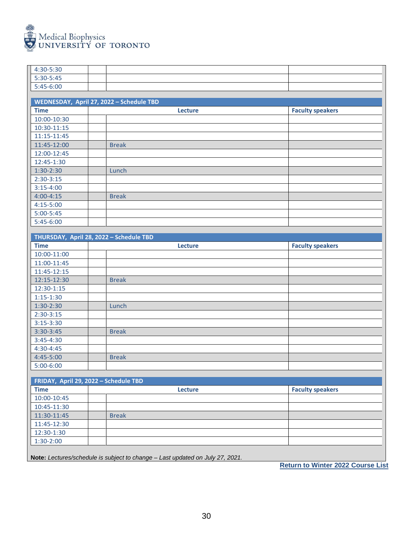

| 4:30-5:30                                |                                         |                |                         |  |  |  |  |
|------------------------------------------|-----------------------------------------|----------------|-------------------------|--|--|--|--|
| 5:30-5:45                                |                                         |                |                         |  |  |  |  |
| 5:45-6:00                                |                                         |                |                         |  |  |  |  |
|                                          |                                         |                |                         |  |  |  |  |
| WEDNESDAY, April 27, 2022 - Schedule TBD |                                         |                |                         |  |  |  |  |
| <b>Time</b>                              |                                         | Lecture        | <b>Faculty speakers</b> |  |  |  |  |
| 10:00-10:30                              |                                         |                |                         |  |  |  |  |
| 10:30-11:15                              |                                         |                |                         |  |  |  |  |
| 11:15-11:45                              |                                         |                |                         |  |  |  |  |
| 11:45-12:00                              | <b>Break</b>                            |                |                         |  |  |  |  |
| 12:00-12:45                              |                                         |                |                         |  |  |  |  |
| 12:45-1:30                               |                                         |                |                         |  |  |  |  |
| $1:30-2:30$                              | Lunch                                   |                |                         |  |  |  |  |
| $2:30-3:15$                              |                                         |                |                         |  |  |  |  |
| $3:15-4:00$                              |                                         |                |                         |  |  |  |  |
| $4:00 - 4:15$                            | <b>Break</b>                            |                |                         |  |  |  |  |
| $4:15 - 5:00$                            |                                         |                |                         |  |  |  |  |
| $5:00 - 5:45$                            |                                         |                |                         |  |  |  |  |
| 5:45-6:00                                |                                         |                |                         |  |  |  |  |
|                                          | THURSDAY, April 28, 2022 - Schedule TBD |                |                         |  |  |  |  |
| <b>Time</b>                              |                                         |                |                         |  |  |  |  |
| 10:00-11:00                              |                                         | <b>Lecture</b> | <b>Faculty speakers</b> |  |  |  |  |
| 11:00-11:45                              |                                         |                |                         |  |  |  |  |
| 11:45-12:15                              |                                         |                |                         |  |  |  |  |
| 12:15-12:30                              | <b>Break</b>                            |                |                         |  |  |  |  |
| 12:30-1:15                               |                                         |                |                         |  |  |  |  |
| $1:15 - 1:30$                            |                                         |                |                         |  |  |  |  |
| $1:30-2:30$                              | Lunch                                   |                |                         |  |  |  |  |
| $2:30-3:15$                              |                                         |                |                         |  |  |  |  |
| $3:15-3:30$                              |                                         |                |                         |  |  |  |  |
| $3:30-3:45$                              | <b>Break</b>                            |                |                         |  |  |  |  |
| $3:45 - 4:30$                            |                                         |                |                         |  |  |  |  |
| $4:30 - 4:45$                            |                                         |                |                         |  |  |  |  |
| 4:45-5:00                                | <b>Break</b>                            |                |                         |  |  |  |  |
| $5:00-6:00$                              |                                         |                |                         |  |  |  |  |
|                                          |                                         |                |                         |  |  |  |  |
| FRIDAY, April 29, 2022 - Schedule TBD    |                                         |                |                         |  |  |  |  |
| <b>Time</b>                              |                                         | Lecture        | <b>Faculty speakers</b> |  |  |  |  |
| 10:00-10:45                              |                                         |                |                         |  |  |  |  |
| 10:45-11:30                              |                                         |                |                         |  |  |  |  |
| 11:30-11:45                              | <b>Break</b>                            |                |                         |  |  |  |  |
| 11:45-12:30                              |                                         |                |                         |  |  |  |  |
|                                          |                                         |                |                         |  |  |  |  |
|                                          |                                         |                |                         |  |  |  |  |
| 12:30-1:30<br>$1:30-2:00$                |                                         |                |                         |  |  |  |  |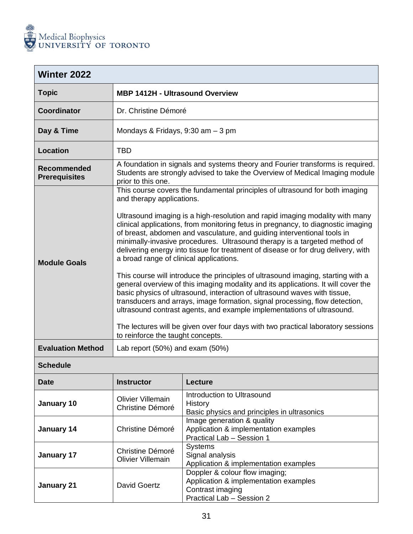

<span id="page-31-0"></span>

| <b>Winter 2022</b>                         |                                                                                                                                                                                                                                                                                                                                                                                                                                                                                                                                                                                                                                                                                                                                                                                                                                                                                                                                                                                                                                                                                                               |  |  |  |
|--------------------------------------------|---------------------------------------------------------------------------------------------------------------------------------------------------------------------------------------------------------------------------------------------------------------------------------------------------------------------------------------------------------------------------------------------------------------------------------------------------------------------------------------------------------------------------------------------------------------------------------------------------------------------------------------------------------------------------------------------------------------------------------------------------------------------------------------------------------------------------------------------------------------------------------------------------------------------------------------------------------------------------------------------------------------------------------------------------------------------------------------------------------------|--|--|--|
| <b>Topic</b>                               | <b>MBP 1412H - Ultrasound Overview</b>                                                                                                                                                                                                                                                                                                                                                                                                                                                                                                                                                                                                                                                                                                                                                                                                                                                                                                                                                                                                                                                                        |  |  |  |
| <b>Coordinator</b>                         | Dr. Christine Démoré                                                                                                                                                                                                                                                                                                                                                                                                                                                                                                                                                                                                                                                                                                                                                                                                                                                                                                                                                                                                                                                                                          |  |  |  |
| Day & Time                                 | Mondays & Fridays, $9:30$ am $-3$ pm                                                                                                                                                                                                                                                                                                                                                                                                                                                                                                                                                                                                                                                                                                                                                                                                                                                                                                                                                                                                                                                                          |  |  |  |
| <b>Location</b>                            | <b>TBD</b>                                                                                                                                                                                                                                                                                                                                                                                                                                                                                                                                                                                                                                                                                                                                                                                                                                                                                                                                                                                                                                                                                                    |  |  |  |
| <b>Recommended</b><br><b>Prerequisites</b> | A foundation in signals and systems theory and Fourier transforms is required.<br>Students are strongly advised to take the Overview of Medical Imaging module<br>prior to this one.                                                                                                                                                                                                                                                                                                                                                                                                                                                                                                                                                                                                                                                                                                                                                                                                                                                                                                                          |  |  |  |
| <b>Module Goals</b>                        | This course covers the fundamental principles of ultrasound for both imaging<br>and therapy applications.<br>Ultrasound imaging is a high-resolution and rapid imaging modality with many<br>clinical applications, from monitoring fetus in pregnancy, to diagnostic imaging<br>of breast, abdomen and vasculature, and guiding interventional tools in<br>minimally-invasive procedures. Ultrasound therapy is a targeted method of<br>delivering energy into tissue for treatment of disease or for drug delivery, with<br>a broad range of clinical applications.<br>This course will introduce the principles of ultrasound imaging, starting with a<br>general overview of this imaging modality and its applications. It will cover the<br>basic physics of ultrasound, interaction of ultrasound waves with tissue,<br>transducers and arrays, image formation, signal processing, flow detection,<br>ultrasound contrast agents, and example implementations of ultrasound.<br>The lectures will be given over four days with two practical laboratory sessions<br>to reinforce the taught concepts. |  |  |  |
| <b>Evaluation Method</b>                   | Lab report (50%) and exam (50%)                                                                                                                                                                                                                                                                                                                                                                                                                                                                                                                                                                                                                                                                                                                                                                                                                                                                                                                                                                                                                                                                               |  |  |  |

| <b>Date</b> | <b>Instructor</b>                            | <b>Lecture</b>                                                                                                           |
|-------------|----------------------------------------------|--------------------------------------------------------------------------------------------------------------------------|
| January 10  | <b>Olivier Villemain</b><br>Christine Démoré | Introduction to Ultrasound<br>History<br>Basic physics and principles in ultrasonics                                     |
| January 14  | Christine Démoré                             | Image generation & quality<br>Application & implementation examples<br>Practical Lab - Session 1                         |
| January 17  | Christine Démoré<br><b>Olivier Villemain</b> | <b>Systems</b><br>Signal analysis<br>Application & implementation examples                                               |
| January 21  | David Goertz                                 | Doppler & colour flow imaging;<br>Application & implementation examples<br>Contrast imaging<br>Practical Lab - Session 2 |